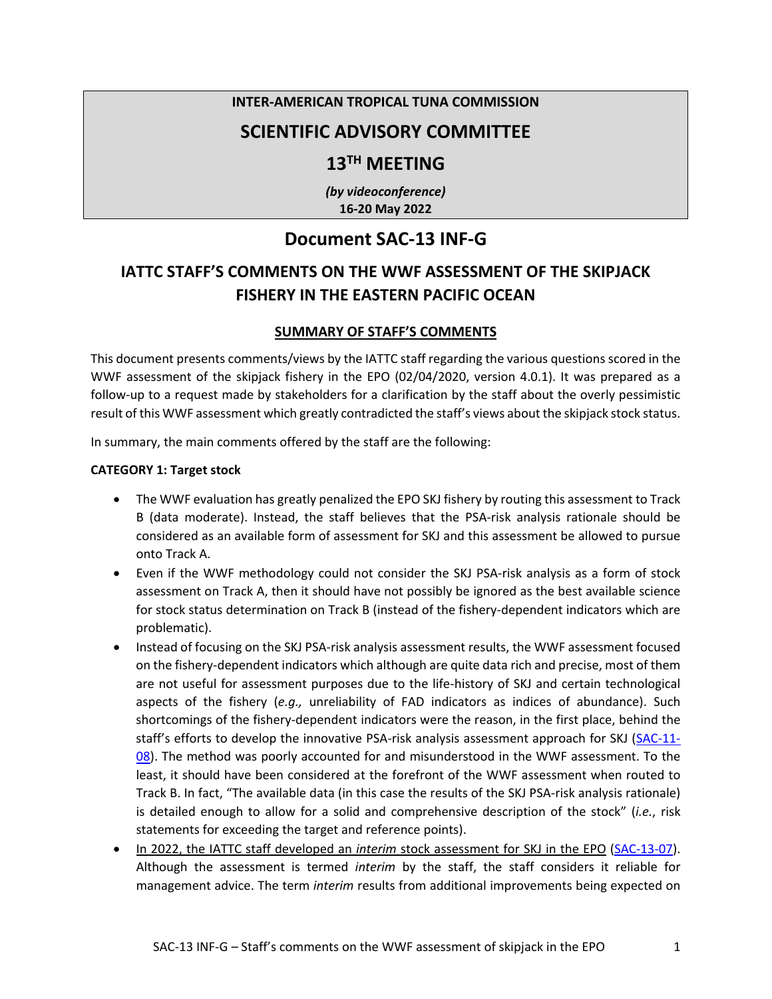### **INTER-AMERICAN TROPICAL TUNA COMMISSION**

### **SCIENTIFIC ADVISORY COMMITTEE**

### **13TH MEETING**

*(by videoconference)* **16-20 May 2022** 

### **Document SAC-13 INF-G**

### **IATTC STAFF'S COMMENTS ON THE WWF ASSESSMENT OF THE SKIPJACK FISHERY IN THE EASTERN PACIFIC OCEAN**

### **SUMMARY OF STAFF'S COMMENTS**

This document presents comments/views by the IATTC staff regarding the various questions scored in the WWF assessment of the skipjack fishery in the EPO (02/04/2020, version 4.0.1). It was prepared as a follow-up to a request made by stakeholders for a clarification by the staff about the overly pessimistic result of this WWF assessment which greatly contradicted the staff's views about the skipjack stock status.

In summary, the main comments offered by the staff are the following:

### **CATEGORY 1: Target stock**

- The WWF evaluation has greatly penalized the EPO SKJ fishery by routing this assessment to Track B (data moderate). Instead, the staff believes that the PSA-risk analysis rationale should be considered as an available form of assessment for SKJ and this assessment be allowed to pursue onto Track A.
- Even if the WWF methodology could not consider the SKJ PSA-risk analysis as a form of stock assessment on Track A, then it should have not possibly be ignored as the best available science for stock status determination on Track B (instead of the fishery-dependent indicators which are problematic).
- Instead of focusing on the SKJ PSA-risk analysis assessment results, the WWF assessment focused on the fishery-dependent indicators which although are quite data rich and precise, most of them are not useful for assessment purposes due to the life-history of SKJ and certain technological aspects of the fishery (*e.g.,* unreliability of FAD indicators as indices of abundance). Such shortcomings of the fishery-dependent indicators were the reason, in the first place, behind the staff's efforts to develop the innovative PSA-risk analysis assessment approach for SKJ [\(SAC-11-](https://www.iattc.org/GetAttachment/650968a3-f4c6-454a-8e8c-eef38fcb0dbb/Risk%20analysis%20for%20management) [08\)](https://www.iattc.org/GetAttachment/650968a3-f4c6-454a-8e8c-eef38fcb0dbb/Risk%20analysis%20for%20management). The method was poorly accounted for and misunderstood in the WWF assessment. To the least, it should have been considered at the forefront of the WWF assessment when routed to Track B. In fact, "The available data (in this case the results of the SKJ PSA-risk analysis rationale) is detailed enough to allow for a solid and comprehensive description of the stock" (*i.e.*, risk statements for exceeding the target and reference points).
- In 2022, the IATTC staff developed an *interim* stock assessment for SKJ in the EPO [\(SAC-13-07\)](https://web1.iattc.org/Meetings/Meetings2022/SAC-13/_English/SAC-13-07_Skipjack%20tuna%20interim%20assessment%202022.pdf). Although the assessment is termed *interim* by the staff, the staff considers it reliable for management advice. The term *interim* results from additional improvements being expected on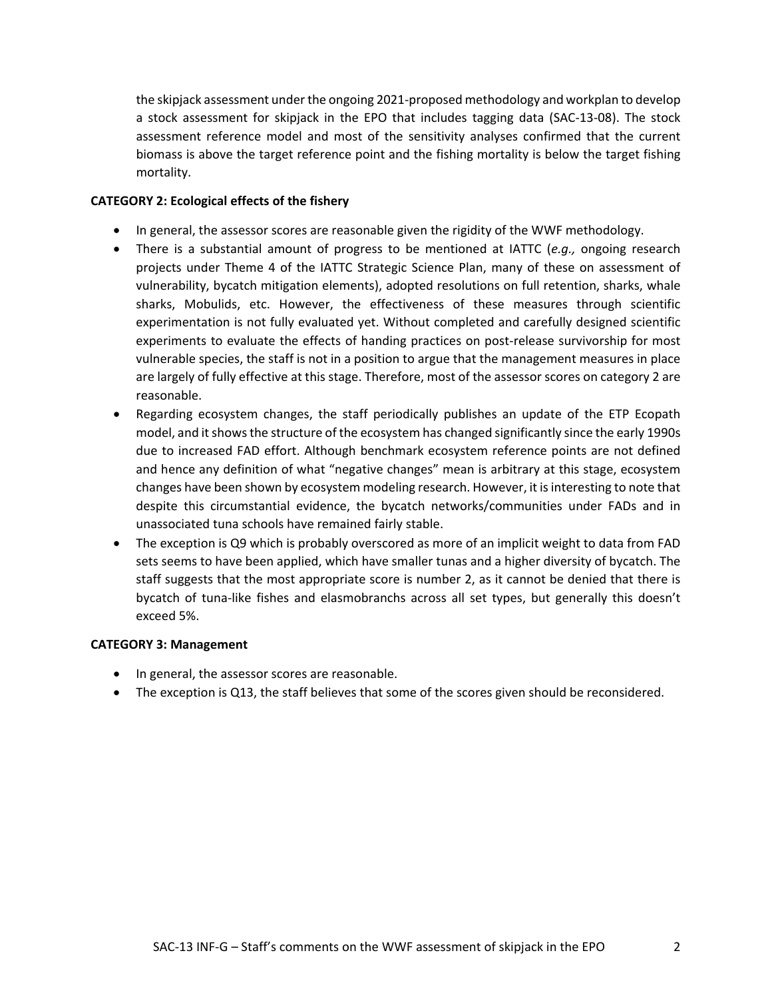the skipjack assessment under the ongoing 2021-proposed methodology and workplan to develop a stock assessment for skipjack in the EPO that includes tagging data (SAC-13-08). The stock assessment reference model and most of the sensitivity analyses confirmed that the current biomass is above the target reference point and the fishing mortality is below the target fishing mortality.

### **CATEGORY 2: Ecological effects of the fishery**

- In general, the assessor scores are reasonable given the rigidity of the WWF methodology.
- There is a substantial amount of progress to be mentioned at IATTC (*e.g.,* ongoing research projects under Theme 4 of the IATTC Strategic Science Plan, many of these on assessment of vulnerability, bycatch mitigation elements), adopted resolutions on full retention, sharks, whale sharks, Mobulids, etc. However, the effectiveness of these measures through scientific experimentation is not fully evaluated yet. Without completed and carefully designed scientific experiments to evaluate the effects of handing practices on post-release survivorship for most vulnerable species, the staff is not in a position to argue that the management measures in place are largely of fully effective at this stage. Therefore, most of the assessor scores on category 2 are reasonable.
- Regarding ecosystem changes, the staff periodically publishes an update of the ETP Ecopath model, and it shows the structure of the ecosystem has changed significantly since the early 1990s due to increased FAD effort. Although benchmark ecosystem reference points are not defined and hence any definition of what "negative changes" mean is arbitrary at this stage, ecosystem changes have been shown by ecosystem modeling research. However, it is interesting to note that despite this circumstantial evidence, the bycatch networks/communities under FADs and in unassociated tuna schools have remained fairly stable.
- The exception is Q9 which is probably overscored as more of an implicit weight to data from FAD sets seems to have been applied, which have smaller tunas and a higher diversity of bycatch. The staff suggests that the most appropriate score is number 2, as it cannot be denied that there is bycatch of tuna-like fishes and elasmobranchs across all set types, but generally this doesn't exceed 5%.

### **CATEGORY 3: Management**

- In general, the assessor scores are reasonable.
- The exception is Q13, the staff believes that some of the scores given should be reconsidered.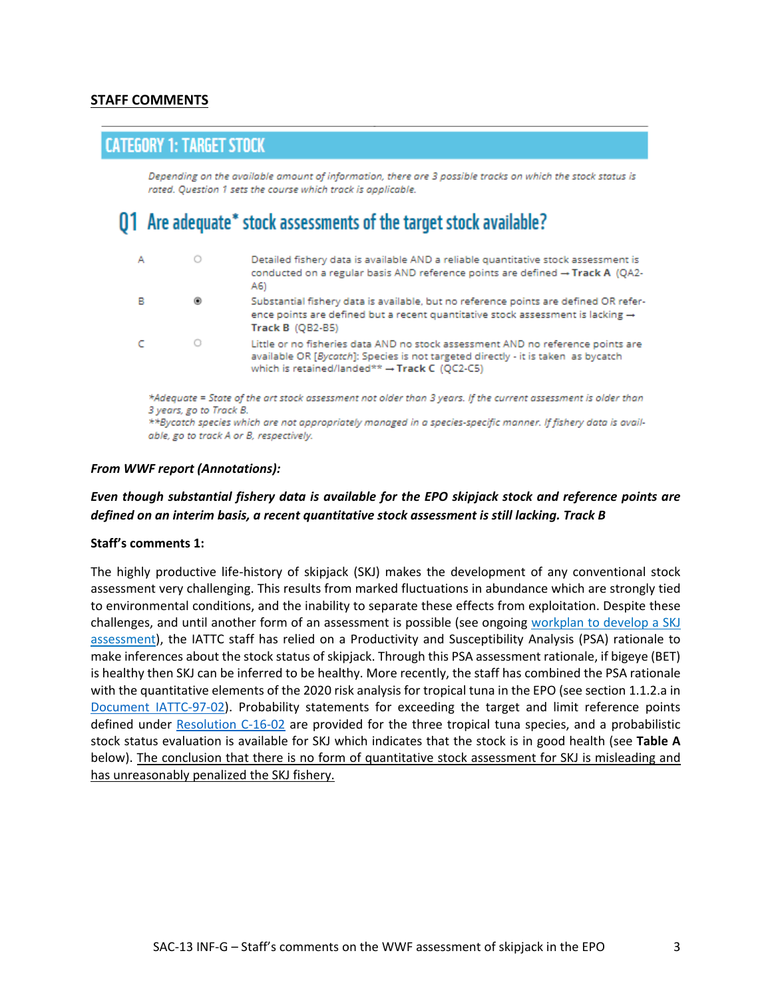### **STAFF COMMENTS**

### **CATEGORY 1: TARGET STOCK**

Depending on the available amount of information, there are 3 possible tracks on which the stock status is rated. Question 1 sets the course which track is applicable.

## 01 Are adequate\* stock assessments of the target stock available?

| A                                                                                                                                                                                                                                                                                                    | 0 | Detailed fishery data is available AND a reliable quantitative stock assessment is<br>conducted on a regular basis AND reference points are defined $\rightarrow$ Track A (OA2-<br>A6)                                |  |  |  |  |  |
|------------------------------------------------------------------------------------------------------------------------------------------------------------------------------------------------------------------------------------------------------------------------------------------------------|---|-----------------------------------------------------------------------------------------------------------------------------------------------------------------------------------------------------------------------|--|--|--|--|--|
| в                                                                                                                                                                                                                                                                                                    | ۵ | Substantial fishery data is available, but no reference points are defined OR refer-<br>ence points are defined but a recent quantitative stock assessment is lacking $\rightarrow$<br><b>Track B (OB2-B5)</b>        |  |  |  |  |  |
|                                                                                                                                                                                                                                                                                                      | 0 | Little or no fisheries data AND no stock assessment AND no reference points are<br>available OR [Bycatch]: Species is not targeted directly - it is taken as bycatch<br>which is retained/landed** → Track C (QC2-C5) |  |  |  |  |  |
| *Adequate = State of the art stock assessment not older than 3 years. If the current assessment is older than<br>3 years, go to Track B.<br>**Bycatch species which are not appropriately managed in a species-specific manner. If fishery data is avail-<br>able, go to track A or B, respectively. |   |                                                                                                                                                                                                                       |  |  |  |  |  |

#### *From WWF report (Annotations):*

### *Even though substantial fishery data is available for the EPO skipjack stock and reference points are defined on an interim basis, a recent quantitative stock assessment is still lacking. Track B*

#### **Staff's comments 1:**

The highly productive life-history of skipjack (SKJ) makes the development of any conventional stock assessment very challenging. This results from marked fluctuations in abundance which are strongly tied to environmental conditions, and the inability to separate these effects from exploitation. Despite these challenges, and until another form of an assessment is possible (see ongoing workplan to develop a SKJ [assessment\)](https://www.iattc.org/Meetings/Meetings2021/SAC-12/Docs/_English/SAC-12-06_%20Assessment%20methods%20for%20skipjack%20in%20the%20EPO%20using%20tagging%20data.pdf), the IATTC staff has relied on a Productivity and Susceptibility Analysis (PSA) rationale to make inferences about the stock status of skipjack. Through this PSA assessment rationale, if bigeye (BET) is healthy then SKJ can be inferred to be healthy. More recently, the staff has combined the PSA rationale with the quantitative elements of the 2020 risk analysis for tropical tuna in the EPO (see section 1.1.2.a in [Document IATTC-97-02\)](https://www.iattc.org/Meetings/Meetings2021/IATTC-97/Docs/_English/IATTC-97-02_Staff%20recommendations%20to%20the%20Commission.pdf). Probability statements for exceeding the target and limit reference points defined under [Resolution C-16-02](https://www.iattc.org/PDFFiles/Resolutions/IATTC/_English/C-16-02-Active_Harvest%20control%20rules.pdf) are provided for the three tropical tuna species, and a probabilistic stock status evaluation is available for SKJ which indicates that the stock is in good health (see **Table A** below). The conclusion that there is no form of quantitative stock assessment for SKJ is misleading and has unreasonably penalized the SKJ fishery.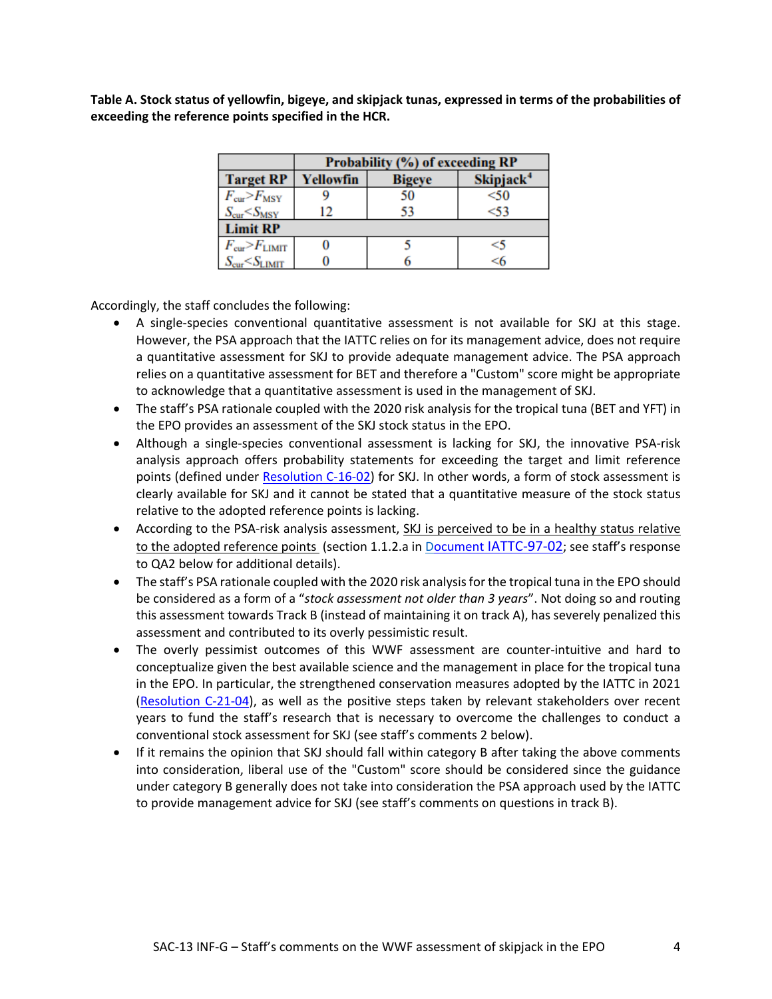**Table A. Stock status of yellowfin, bigeye, and skipjack tunas, expressed in terms of the probabilities of exceeding the reference points specified in the HCR.**

|                                         | Probability (%) of exceeding RP                     |    |      |  |  |  |  |
|-----------------------------------------|-----------------------------------------------------|----|------|--|--|--|--|
| <b>Target RP</b>                        | Skipjack <sup>4</sup><br>Yellowfin<br><b>Bigeye</b> |    |      |  |  |  |  |
| $F_{\rm cur} > F_{\rm MSY}$             |                                                     | 50 | $50$ |  |  |  |  |
| $S_{\text{cur}}< S_{\text{MSY}}$        | 12                                                  | 53 | <53  |  |  |  |  |
| <b>Limit RP</b>                         |                                                     |    |      |  |  |  |  |
| $F_{\rm cur}$ $\!\!>$ $\!F_{\rm LIMIT}$ |                                                     |    | <5   |  |  |  |  |
| $S_{\text{cur}}< S_{\text{LIMIT}}$      |                                                     |    | <6   |  |  |  |  |

Accordingly, the staff concludes the following:

- A single-species conventional quantitative assessment is not available for SKJ at this stage. However, the PSA approach that the IATTC relies on for its management advice, does not require a quantitative assessment for SKJ to provide adequate management advice. The PSA approach relies on a quantitative assessment for BET and therefore a "Custom" score might be appropriate to acknowledge that a quantitative assessment is used in the management of SKJ.
- The staff's PSA rationale coupled with the 2020 risk analysis for the tropical tuna (BET and YFT) in the EPO provides an assessment of the SKJ stock status in the EPO.
- Although a single-species conventional assessment is lacking for SKJ, the innovative PSA-risk analysis approach offers probability statements for exceeding the target and limit reference points (defined under [Resolution C-16-02\)](https://www.iattc.org/GetAttachment/79173db8-ebc3-49ca-9fa6-c46d0ffe5979/Harvest%20control%20rules) for SKJ. In other words, a form of stock assessment is clearly available for SKJ and it cannot be stated that a quantitative measure of the stock status relative to the adopted reference points is lacking.
- According to the PSA-risk analysis assessment, SKJ is perceived to be in a healthy status relative to the adopted reference points (section 1.1.2.a in Document [IATTC-97-02;](https://www.iattc.org/Meetings/Meetings2021/IATTC-97/Docs/_English/IATTC-97-02_Staff%20recommendations%20to%20the%20Commission.pdf) see staff's response to QA2 below for additional details).
- The staff's PSA rationale coupled with the 2020 risk analysis for the tropical tuna in the EPO should be considered as a form of a "*stock assessment not older than 3 years*". Not doing so and routing this assessment towards Track B (instead of maintaining it on track A), has severely penalized this assessment and contributed to its overly pessimistic result.
- The overly pessimist outcomes of this WWF assessment are counter-intuitive and hard to conceptualize given the best available science and the management in place for the tropical tuna in the EPO. In particular, the strengthened conservation measures adopted by the IATTC in 2021 [\(Resolution C-21-04\)](https://www.iattc.org/GetAttachment/e3dc0a7e-e73c-4b8e-889e-a4cd2cdd7b8b/Tuna%20conservation%20in%20the%20EPO%202022-2024), as well as the positive steps taken by relevant stakeholders over recent years to fund the staff's research that is necessary to overcome the challenges to conduct a conventional stock assessment for SKJ (see staff's comments 2 below).
- If it remains the opinion that SKJ should fall within category B after taking the above comments into consideration, liberal use of the "Custom" score should be considered since the guidance under category B generally does not take into consideration the PSA approach used by the IATTC to provide management advice for SKJ (see staff's comments on questions in track B).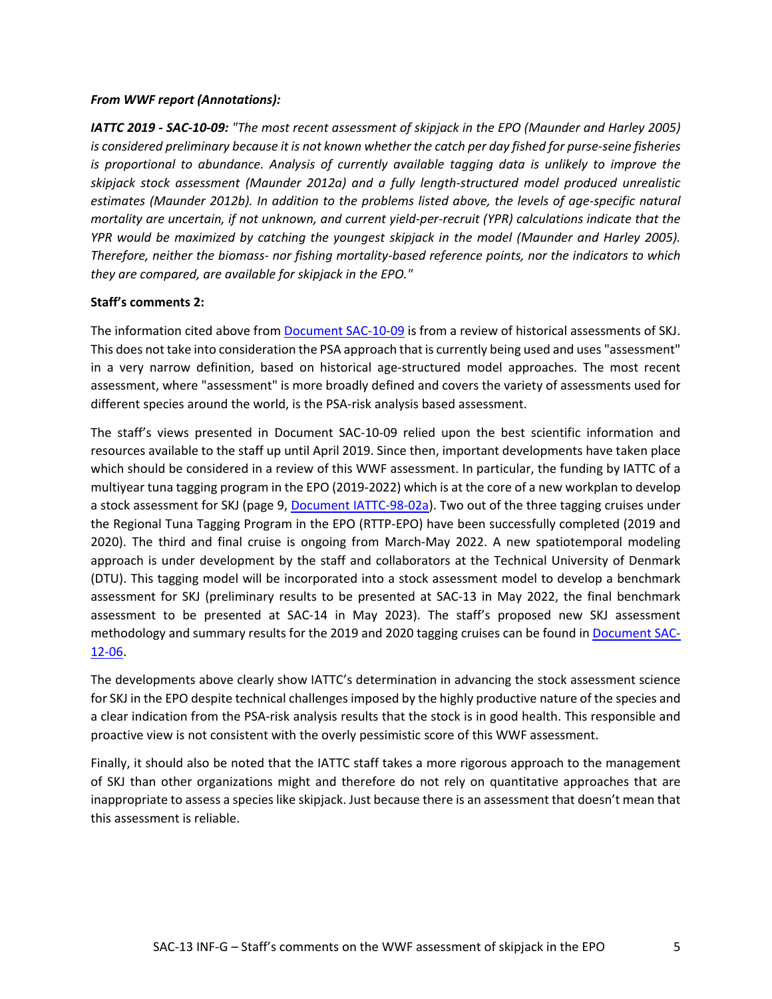### *From WWF report (Annotations):*

*IATTC 2019 - SAC-10-09: "The most recent assessment of skipjack in the EPO (Maunder and Harley 2005) is considered preliminary because it is not known whether the catch per day fished for purse-seine fisheries is proportional to abundance. Analysis of currently available tagging data is unlikely to improve the skipjack stock assessment (Maunder 2012a) and a fully length-structured model produced unrealistic estimates (Maunder 2012b). In addition to the problems listed above, the levels of age-specific natural mortality are uncertain, if not unknown, and current yield-per-recruit (YPR) calculations indicate that the YPR would be maximized by catching the youngest skipjack in the model (Maunder and Harley 2005). Therefore, neither the biomass- nor fishing mortality-based reference points, nor the indicators to which they are compared, are available for skipjack in the EPO."*

### **Staff's comments 2:**

The information cited above from [Document SAC-10-09](https://www.iattc.org/Meetings/Meetings2019/SAC-10/Docs/_English/SAC-10-09_Skipjack%20tuna%20indicators%20of%20stock%20status.pdf) is from a review of historical assessments of SKJ. This does not take into consideration the PSA approach that is currently being used and uses "assessment" in a very narrow definition, based on historical age-structured model approaches. The most recent assessment, where "assessment" is more broadly defined and covers the variety of assessments used for different species around the world, is the PSA-risk analysis based assessment.

The staff's views presented in Document SAC-10-09 relied upon the best scientific information and resources available to the staff up until April 2019. Since then, important developments have taken place which should be considered in a review of this WWF assessment. In particular, the funding by IATTC of a multiyear tuna tagging program in the EPO (2019-2022) which is at the core of a new workplan to develop a stock assessment for SKJ (page 9, [Document IATTC-98-02a\)](https://www.iattc.org/Meetings/Meetings2021/IATTC-98b/Docs/_English/IATTC-98b-02a_Staff%20activities%20and%20research%20plan.pdf). Two out of the three tagging cruises under the Regional Tuna Tagging Program in the EPO (RTTP-EPO) have been successfully completed (2019 and 2020). The third and final cruise is ongoing from March-May 2022. A new spatiotemporal modeling approach is under development by the staff and collaborators at the Technical University of Denmark (DTU). This tagging model will be incorporated into a stock assessment model to develop a benchmark assessment for SKJ (preliminary results to be presented at SAC-13 in May 2022, the final benchmark assessment to be presented at SAC-14 in May 2023). The staff's proposed new SKJ assessment methodology and summary results for the 2019 and 2020 tagging cruises can be found in [Document SAC-](https://www.iattc.org/Meetings/Meetings2021/SAC-12/Docs/_English/SAC-12-06_%20Assessment%20methods%20for%20skipjack%20in%20the%20EPO%20using%20tagging%20data.pdf)[12-06.](https://www.iattc.org/Meetings/Meetings2021/SAC-12/Docs/_English/SAC-12-06_%20Assessment%20methods%20for%20skipjack%20in%20the%20EPO%20using%20tagging%20data.pdf)

The developments above clearly show IATTC's determination in advancing the stock assessment science for SKJ in the EPO despite technical challenges imposed by the highly productive nature of the species and a clear indication from the PSA-risk analysis results that the stock is in good health. This responsible and proactive view is not consistent with the overly pessimistic score of this WWF assessment.

Finally, it should also be noted that the IATTC staff takes a more rigorous approach to the management of SKJ than other organizations might and therefore do not rely on quantitative approaches that are inappropriate to assess a species like skipjack. Just because there is an assessment that doesn't mean that this assessment is reliable.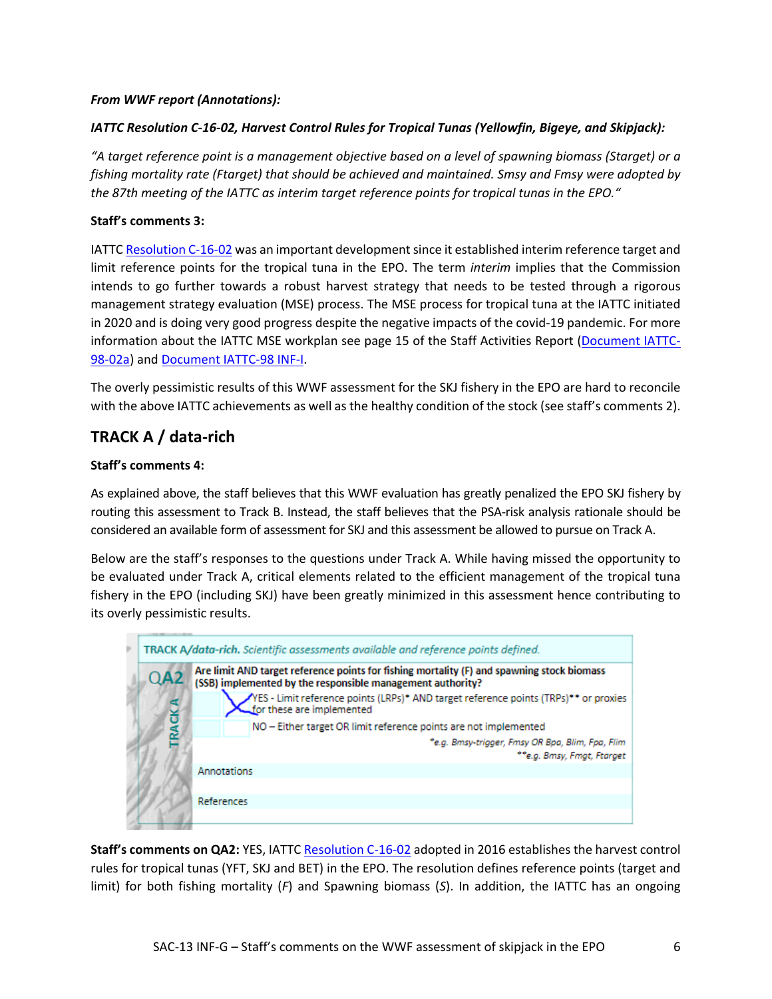### *From WWF report (Annotations):*

### *IATTC Resolution C-16-02, Harvest Control Rules for Tropical Tunas (Yellowfin, Bigeye, and Skipjack):*

*"A target reference point is a management objective based on a level of spawning biomass (Starget) or a fishing mortality rate (Ftarget) that should be achieved and maintained. Smsy and Fmsy were adopted by the 87th meeting of the IATTC as interim target reference points for tropical tunas in the EPO."*

### **Staff's comments 3:**

IATTC [Resolution C-16-02](https://www.iattc.org/GetAttachment/79173db8-ebc3-49ca-9fa6-c46d0ffe5979/Harvest%20control%20rules) was an important development since it established interim reference target and limit reference points for the tropical tuna in the EPO. The term *interim* implies that the Commission intends to go further towards a robust harvest strategy that needs to be tested through a rigorous management strategy evaluation (MSE) process. The MSE process for tropical tuna at the IATTC initiated in 2020 and is doing very good progress despite the negative impacts of the covid-19 pandemic. For more information about the IATTC MSE workplan see page 15 of the Staff Activities Report [\(Document IATTC-](https://www.iattc.org/Meetings/Meetings2021/IATTC-98b/Docs/_English/IATTC-98b-02a_Staff%20activities%20and%20research%20plan.pdf)[98-02a\)](https://www.iattc.org/Meetings/Meetings2021/IATTC-98b/Docs/_English/IATTC-98b-02a_Staff%20activities%20and%20research%20plan.pdf) and [Document IATTC-98 INF-I.](https://www.iattc.org/Meetings/Meetings2021/IATTC-98a/Docs/_English/IATTC-98-INF-I_Management%20Strategy%20Evaluation%20for%20Tropical%20Tunas.pdf)

The overly pessimistic results of this WWF assessment for the SKJ fishery in the EPO are hard to reconcile with the above IATTC achievements as well as the healthy condition of the stock (see staff's comments 2).

### **TRACK A / data-rich**

### **Staff's comments 4:**

As explained above, the staff believes that this WWF evaluation has greatly penalized the EPO SKJ fishery by routing this assessment to Track B. Instead, the staff believes that the PSA-risk analysis rationale should be considered an available form of assessment for SKJ and this assessment be allowed to pursue on Track A.

Below are the staff's responses to the questions under Track A. While having missed the opportunity to be evaluated under Track A, critical elements related to the efficient management of the tropical tuna fishery in the EPO (including SKJ) have been greatly minimized in this assessment hence contributing to its overly pessimistic results.



Staff's comments on QA2: YES, IATTC [Resolution C-16-02](https://www.iattc.org/GetAttachment/79173db8-ebc3-49ca-9fa6-c46d0ffe5979/Harvest%20control%20rules) adopted in 2016 establishes the harvest control rules for tropical tunas (YFT, SKJ and BET) in the EPO. The resolution defines reference points (target and limit) for both fishing mortality (*F*) and Spawning biomass (*S*). In addition, the IATTC has an ongoing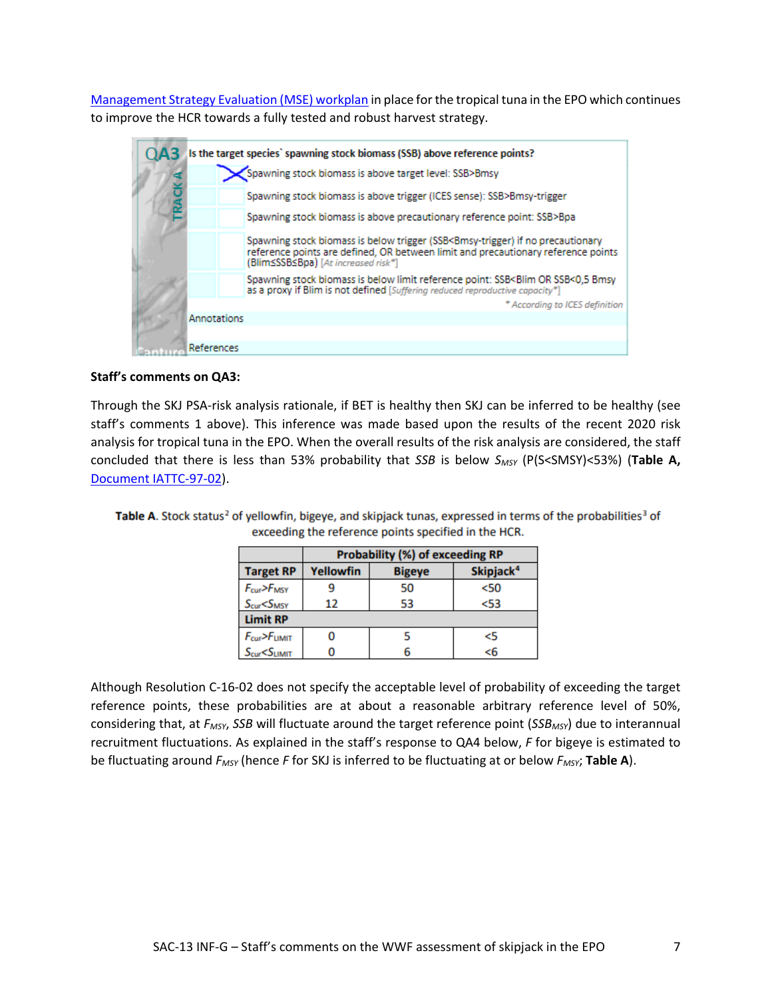[Management Strategy Evaluation \(MSE\) workplan](https://www.iattc.org/Meetings/Meetings2021/IATTC-98a/Docs/_English/IATTC-98-INF-I_Management%20Strategy%20Evaluation%20for%20Tropical%20Tunas.pdf) in place for the tropical tuna in the EPO which continues to improve the HCR towards a fully tested and robust harvest strategy.



### **Staff's comments on QA3:**

Through the SKJ PSA-risk analysis rationale, if BET is healthy then SKJ can be inferred to be healthy (see staff's comments 1 above). This inference was made based upon the results of the recent 2020 risk analysis for tropical tuna in the EPO. When the overall results of the risk analysis are considered, the staff concluded that there is less than 53% probability that *SSB* is below *SMSY* (P(S<SMSY)<53%) (**Table A,**  Document [IATTC-97-02\)](https://www.iattc.org/Meetings/Meetings2021/IATTC-97/Docs/_English/IATTC-97-02_Staff%20recommendations%20to%20the%20Commission.pdf).

|                                       | Probability (%) of exceeding RP                            |    |      |  |  |  |  |  |
|---------------------------------------|------------------------------------------------------------|----|------|--|--|--|--|--|
| <b>Target RP</b>                      | Skipjack <sup>4</sup><br><b>Yellowfin</b><br><b>Bigeye</b> |    |      |  |  |  |  |  |
| F <sub>cur</sub> > F <sub>MSY</sub>   |                                                            | 50 | 50   |  |  |  |  |  |
| S <sub>cur</sub> < S <sub>MSY</sub>   | 12                                                         | 53 | $53$ |  |  |  |  |  |
| <b>Limit RP</b>                       |                                                            |    |      |  |  |  |  |  |
| F <sub>cur</sub> > F <sub>UMIT</sub>  |                                                            |    | <5   |  |  |  |  |  |
| S <sub>cur</sub> < S <sub>LIMIT</sub> |                                                            |    | <6   |  |  |  |  |  |

Table A. Stock status<sup>2</sup> of vellowfin, bigeve, and skipiack tunas, expressed in terms of the probabilities<sup>3</sup> of exceeding the reference points specified in the HCR.

Although Resolution C-16-02 does not specify the acceptable level of probability of exceeding the target reference points, these probabilities are at about a reasonable arbitrary reference level of 50%, considering that, at *FMSY*, *SSB* will fluctuate around the target reference point (*SSBMSY*) due to interannual recruitment fluctuations. As explained in the staff's response to QA4 below, *F* for bigeye is estimated to be fluctuating around *FMSY* (hence *F* for SKJ is inferred to be fluctuating at or below *FMSY*; **Table A**).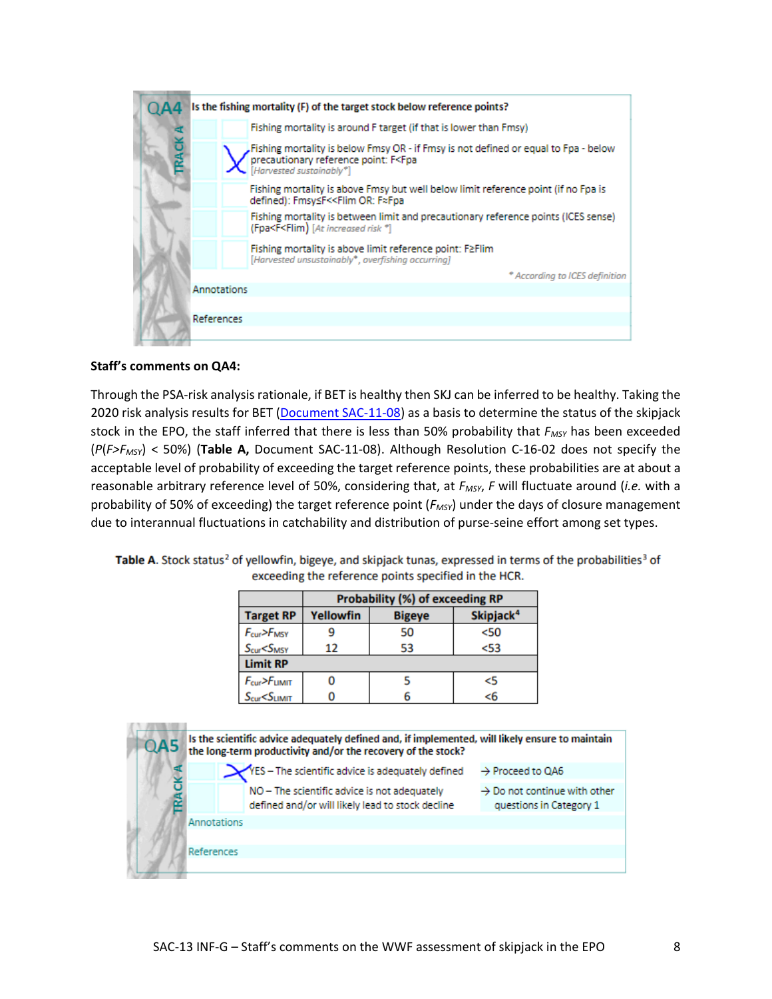

### **Staff's comments on QA4:**

Through the PSA-risk analysis rationale, if BET is healthy then SKJ can be inferred to be healthy. Taking the 2020 risk analysis results for BET [\(Document SAC-11-08\)](https://www.iattc.org/Meetings/Meetings2020/SAC-11/Docs/_English/SAC-11-08-REV-23-Oct-2020-MTG_Risk%20analysis%20for%20management.pdf) as a basis to determine the status of the skipjack stock in the EPO, the staff inferred that there is less than 50% probability that *FMSY* has been exceeded (*P*(*F>FMSY*) < 50%) (**Table A,** Document SAC-11-08). Although Resolution C-16-02 does not specify the acceptable level of probability of exceeding the target reference points, these probabilities are at about a reasonable arbitrary reference level of 50%, considering that, at *FMSY*, *F* will fluctuate around (*i.e.* with a probability of 50% of exceeding) the target reference point (*FMSY*) under the days of closure management due to interannual fluctuations in catchability and distribution of purse-seine effort among set types.

|                                      | <b>Probability (%) of exceeding RP</b> |                                        |      |  |  |  |  |  |  |
|--------------------------------------|----------------------------------------|----------------------------------------|------|--|--|--|--|--|--|
| <b>Target RP</b>                     | <b>Yellowfin</b>                       | Skipjack <sup>4</sup><br><b>Bigeye</b> |      |  |  |  |  |  |  |
| F <sub>cur</sub> > F <sub>MSY</sub>  |                                        | 50                                     | 50<  |  |  |  |  |  |  |
| S <sub>cur</sub> < S <sub>MSY</sub>  | 12                                     | 53                                     | $53$ |  |  |  |  |  |  |
| <b>Limit RP</b>                      |                                        |                                        |      |  |  |  |  |  |  |
| F <sub>cur</sub> > F <sub>UMIT</sub> |                                        |                                        | <5   |  |  |  |  |  |  |
| $S_{cur} < S_{LIMIT}$                |                                        | 6                                      | < 6  |  |  |  |  |  |  |

Table A. Stock status<sup>2</sup> of yellowfin, bigeye, and skipjack tunas, expressed in terms of the probabilities<sup>3</sup> of exceeding the reference points specified in the HCR.

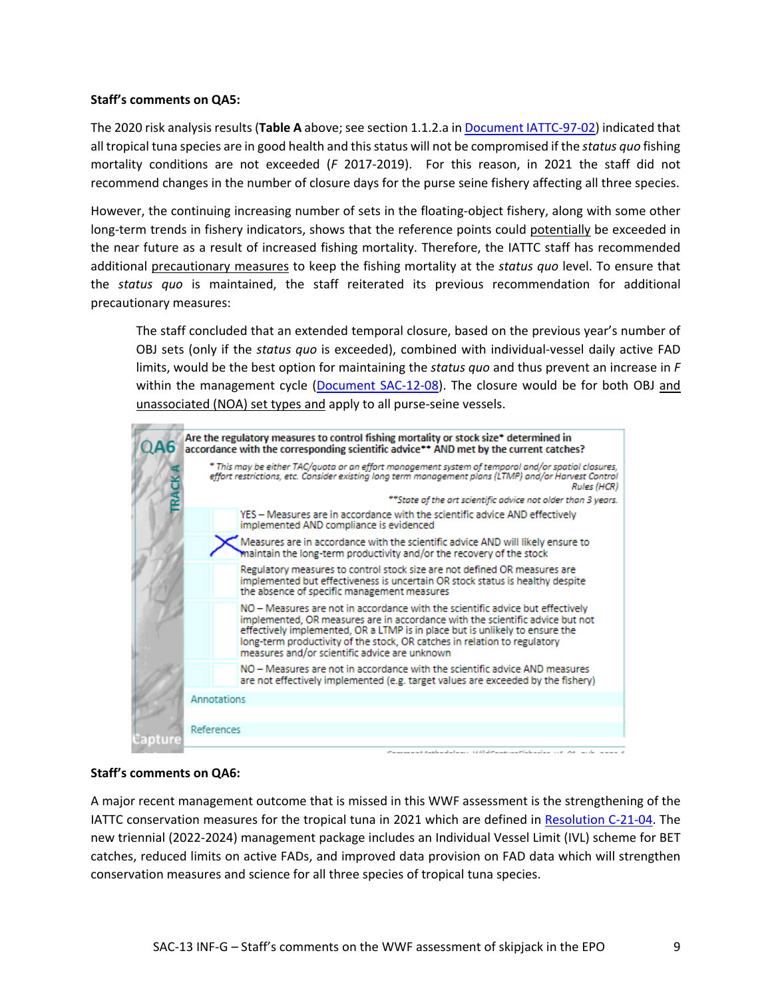### **Staff's comments on QA5:**

The 2020 risk analysis results (**Table A** above; see section 1.1.2.a in [Document IATTC-97-02\)](https://www.iattc.org/Meetings/Meetings2021/IATTC-97/Docs/_English/IATTC-97-02_Staff%20recommendations%20to%20the%20Commission.pdf) indicated that all tropical tuna species are in good health and this status will not be compromised if the *status quo* fishing mortality conditions are not exceeded (*F* 2017-2019). For this reason, in 2021 the staff did not recommend changes in the number of closure days for the purse seine fishery affecting all three species.

However, the continuing increasing number of sets in the floating-object fishery, along with some other long-term trends in fishery indicators, shows that the reference points could potentially be exceeded in the near future as a result of increased fishing mortality. Therefore, the IATTC staff has recommended additional precautionary measures to keep the fishing mortality at the *status quo* level. To ensure that the *status quo* is maintained, the staff reiterated its previous recommendation for additional precautionary measures:

The staff concluded that an extended temporal closure, based on the previous year's number of OBJ sets (only if the *status quo* is exceeded), combined with individual-vessel daily active FAD limits, would be the best option for maintaining the *status quo* and thus prevent an increase in *F* within the management cycle [\(Document SAC-12-08\)](https://www.iattc.org/Meetings/Meetings2021/SAC-12/Docs/_English/SAC-12-08_Managing%20the%20floating-object%20fishery.pdf). The closure would be for both OBJ and unassociated (NOA) set types and apply to all purse-seine vessels.



### **Staff's comments on QA6:**

A major recent management outcome that is missed in this WWF assessment is the strengthening of the IATTC conservation measures for the tropical tuna in 2021 which are defined in [Resolution C-21-04.](https://www.iattc.org/PDFFiles/Resolutions/IATTC/_English/C-21-04-Active_Tuna%20conservation%20in%20the%20EPO%202022-2024.pdf) The new triennial (2022-2024) management package includes an Individual Vessel Limit (IVL) scheme for BET catches, reduced limits on active FADs, and improved data provision on FAD data which will strengthen conservation measures and science for all three species of tropical tuna species.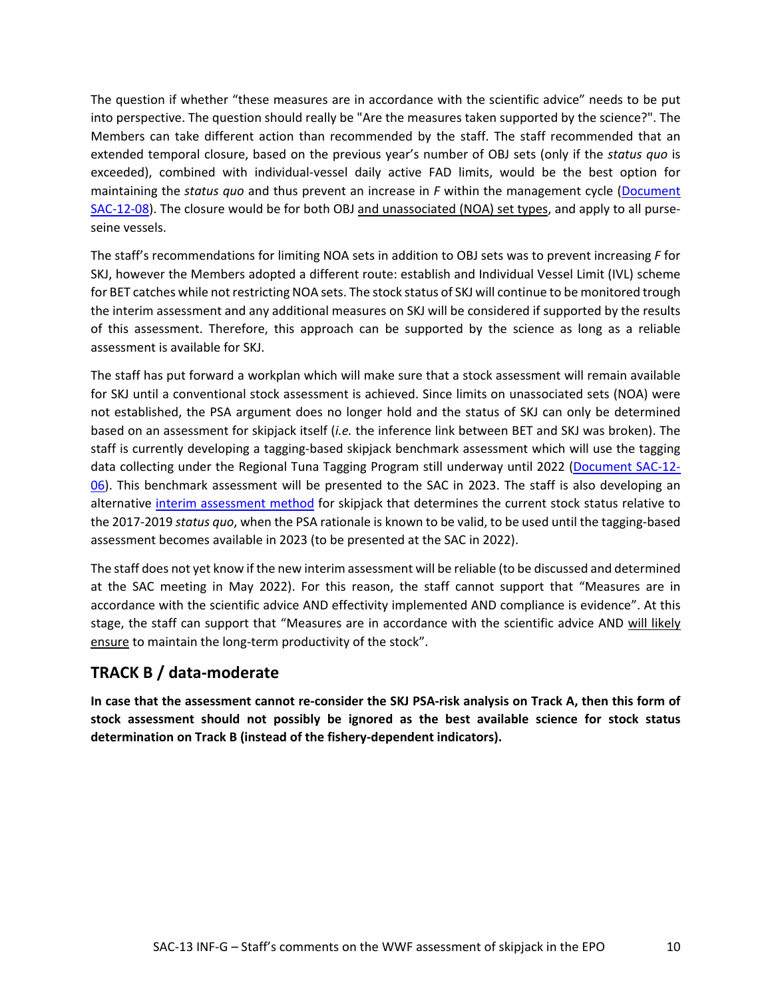The question if whether "these measures are in accordance with the scientific advice" needs to be put into perspective. The question should really be "Are the measures taken supported by the science?". The Members can take different action than recommended by the staff. The staff recommended that an extended temporal closure, based on the previous year's number of OBJ sets (only if the *status quo* is exceeded), combined with individual-vessel daily active FAD limits, would be the best option for maintaining the *status quo* and thus prevent an increase in *F* within the management cycle [\(Document](https://www.iattc.org/Meetings/Meetings2021/SAC-12/Docs/_English/SAC-12-08_Managing%20the%20floating-object%20fishery.pdf)  [SAC-12-08\)](https://www.iattc.org/Meetings/Meetings2021/SAC-12/Docs/_English/SAC-12-08_Managing%20the%20floating-object%20fishery.pdf). The closure would be for both OBJ and unassociated (NOA) set types, and apply to all purseseine vessels.

The staff's recommendations for limiting NOA sets in addition to OBJ sets was to prevent increasing *F* for SKJ, however the Members adopted a different route: establish and Individual Vessel Limit (IVL) scheme for BET catches while not restricting NOA sets. The stock status of SKJ will continue to be monitored trough the interim assessment and any additional measures on SKJ will be considered if supported by the results of this assessment. Therefore, this approach can be supported by the science as long as a reliable assessment is available for SKJ.

The staff has put forward a workplan which will make sure that a stock assessment will remain available for SKJ until a conventional stock assessment is achieved. Since limits on unassociated sets (NOA) were not established, the PSA argument does no longer hold and the status of SKJ can only be determined based on an assessment for skipjack itself (*i.e.* the inference link between BET and SKJ was broken). The staff is currently developing a tagging-based skipjack benchmark assessment which will use the tagging data collecting under the Regional Tuna Tagging Program still underway until 2022 [\(Document SAC-12-](https://www.iattc.org/Meetings/Meetings2021/SAC-12/Docs/_English/SAC-12-06_%20Assessment%20methods%20for%20skipjack%20in%20the%20EPO%20using%20tagging%20data.pdf) [06\)](https://www.iattc.org/Meetings/Meetings2021/SAC-12/Docs/_English/SAC-12-06_%20Assessment%20methods%20for%20skipjack%20in%20the%20EPO%20using%20tagging%20data.pdf). This benchmark assessment will be presented to the SAC in 2023. The staff is also developing an alternative [interim assessment method](https://www.iattc.org/Meetings/Meetings2021/IATTC-98a/Docs/_English/IATTC-98-INF-F_Assessment%20work%20plan%20skipjack.pdf) for skipjack that determines the current stock status relative to the 2017-2019 *status quo*, when the PSA rationale is known to be valid, to be used until the tagging-based assessment becomes available in 2023 (to be presented at the SAC in 2022).

The staff does not yet know if the new interim assessment will be reliable (to be discussed and determined at the SAC meeting in May 2022). For this reason, the staff cannot support that "Measures are in accordance with the scientific advice AND effectivity implemented AND compliance is evidence". At this stage, the staff can support that "Measures are in accordance with the scientific advice AND will likely ensure to maintain the long-term productivity of the stock".

### **TRACK B / data-moderate**

**In case that the assessment cannot re-consider the SKJ PSA-risk analysis on Track A, then this form of stock assessment should not possibly be ignored as the best available science for stock status determination on Track B (instead of the fishery-dependent indicators).**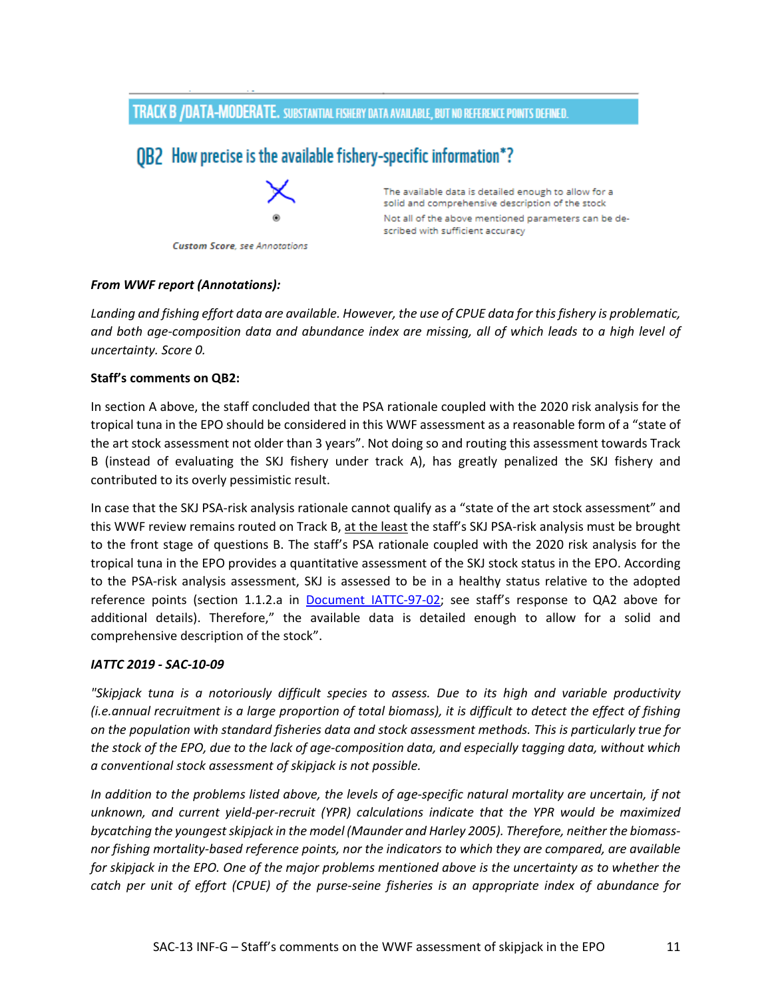### TRACK B /DATA-MODERATE. SUBSTANTIAL FISHERY DATA AVAILABLE, BUT NO REFERENCE POINTS DEFINED.

## OB2 How precise is the available fishery-specific information\*?



The available data is detailed enough to allow for a solid and comprehensive description of the stock Not all of the above mentioned parameters can be described with sufficient accuracy

#### **Custom Score**, see Annotations

#### *From WWF report (Annotations):*

*Landing and fishing effort data are available. However, the use of CPUE data for this fishery is problematic, and both age-composition data and abundance index are missing, all of which leads to a high level of uncertainty. Score 0.*

### **Staff's comments on QB2:**

In section A above, the staff concluded that the PSA rationale coupled with the 2020 risk analysis for the tropical tuna in the EPO should be considered in this WWF assessment as a reasonable form of a "state of the art stock assessment not older than 3 years". Not doing so and routing this assessment towards Track B (instead of evaluating the SKJ fishery under track A), has greatly penalized the SKJ fishery and contributed to its overly pessimistic result.

In case that the SKJ PSA-risk analysis rationale cannot qualify as a "state of the art stock assessment" and this WWF review remains routed on Track B, at the least the staff's SKJ PSA-risk analysis must be brought to the front stage of questions B. The staff's PSA rationale coupled with the 2020 risk analysis for the tropical tuna in the EPO provides a quantitative assessment of the SKJ stock status in the EPO. According to the PSA-risk analysis assessment, SKJ is assessed to be in a healthy status relative to the adopted reference points (section 1.1.2.a in [Document IATTC-97-02;](https://www.iattc.org/Meetings/Meetings2021/IATTC-97/Docs/_English/IATTC-97-02_Staff%20recommendations%20to%20the%20Commission.pdf) see staff's response to QA2 above for additional details). Therefore," the available data is detailed enough to allow for a solid and comprehensive description of the stock".

#### *IATTC 2019 - SAC-10-09*

*"Skipjack tuna is a notoriously difficult species to assess. Due to its high and variable productivity (i.e.annual recruitment is a large proportion of total biomass), it is difficult to detect the effect of fishing on the population with standard fisheries data and stock assessment methods. This is particularly true for the stock of the EPO, due to the lack of age-composition data, and especially tagging data, without which a conventional stock assessment of skipjack is not possible.*

*In addition to the problems listed above, the levels of age-specific natural mortality are uncertain, if not unknown, and current yield-per-recruit (YPR) calculations indicate that the YPR would be maximized bycatching the youngest skipjack in the model (Maunder and Harley 2005). Therefore, neither the biomassnor fishing mortality-based reference points, nor the indicators to which they are compared, are available for skipjack in the EPO. One of the major problems mentioned above is the uncertainty as to whether the catch per unit of effort (CPUE) of the purse-seine fisheries is an appropriate index of abundance for*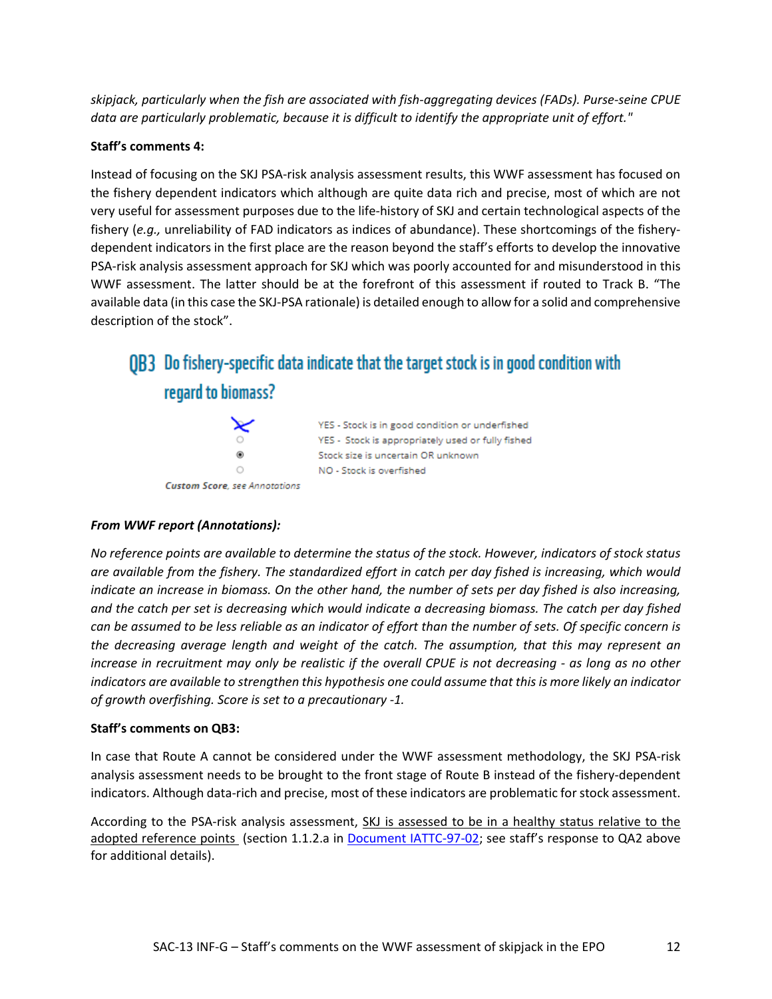*skipjack, particularly when the fish are associated with fish-aggregating devices (FADs). Purse-seine CPUE*  data are particularly problematic, because it is difficult to identify the appropriate unit of effort."

### **Staff's comments 4:**

Instead of focusing on the SKJ PSA-risk analysis assessment results, this WWF assessment has focused on the fishery dependent indicators which although are quite data rich and precise, most of which are not very useful for assessment purposes due to the life-history of SKJ and certain technological aspects of the fishery (*e.g.,* unreliability of FAD indicators as indices of abundance). These shortcomings of the fisherydependent indicators in the first place are the reason beyond the staff's efforts to develop the innovative PSA-risk analysis assessment approach for SKJ which was poorly accounted for and misunderstood in this WWF assessment. The latter should be at the forefront of this assessment if routed to Track B. "The available data (in this case the SKJ-PSA rationale) is detailed enough to allow for a solid and comprehensive description of the stock".

## QB3 Do fishery-specific data indicate that the target stock is in good condition with regard to biomass?



### *From WWF report (Annotations):*

*No reference points are available to determine the status of the stock. However, indicators of stock status are available from the fishery. The standardized effort in catch per day fished is increasing, which would indicate an increase in biomass. On the other hand, the number of sets per day fished is also increasing, and the catch per set is decreasing which would indicate a decreasing biomass. The catch per day fished can be assumed to be less reliable as an indicator of effort than the number of sets. Of specific concern is the decreasing average length and weight of the catch. The assumption, that this may represent an increase in recruitment may only be realistic if the overall CPUE is not decreasing - as long as no other indicators are available to strengthen this hypothesis one could assume that this is more likely an indicator of growth overfishing. Score is set to a precautionary -1.*

### **Staff's comments on QB3:**

In case that Route A cannot be considered under the WWF assessment methodology, the SKJ PSA-risk analysis assessment needs to be brought to the front stage of Route B instead of the fishery-dependent indicators. Although data-rich and precise, most of these indicators are problematic for stock assessment.

According to the PSA-risk analysis assessment, SKJ is assessed to be in a healthy status relative to the adopted reference points (section 1.1.2.a in [Document IATTC-97-02;](https://www.iattc.org/Meetings/Meetings2021/IATTC-97/Docs/_English/IATTC-97-02_Staff%20recommendations%20to%20the%20Commission.pdf) see staff's response to QA2 above for additional details).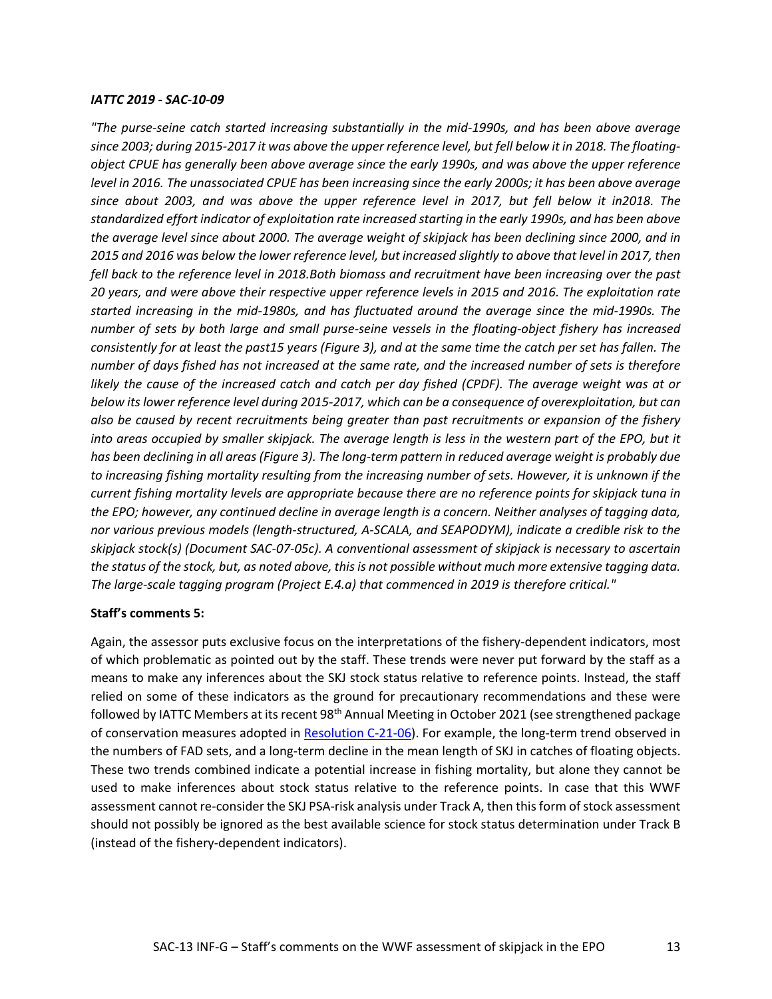#### *IATTC 2019 - SAC-10-09*

*"The purse-seine catch started increasing substantially in the mid-1990s, and has been above average since 2003; during 2015-2017 it was above the upper reference level, but fell below it in 2018. The floatingobject CPUE has generally been above average since the early 1990s, and was above the upper reference level in 2016. The unassociated CPUE has been increasing since the early 2000s; it has been above average since about 2003, and was above the upper reference level in 2017, but fell below it in2018. The standardized effort indicator of exploitation rate increased starting in the early 1990s, and has been above the average level since about 2000. The average weight of skipjack has been declining since 2000, and in 2015 and 2016 was below the lower reference level, but increased slightly to above that level in 2017, then fell back to the reference level in 2018.Both biomass and recruitment have been increasing over the past 20 years, and were above their respective upper reference levels in 2015 and 2016. The exploitation rate started increasing in the mid-1980s, and has fluctuated around the average since the mid-1990s. The number of sets by both large and small purse-seine vessels in the floating-object fishery has increased consistently for at least the past15 years (Figure 3), and at the same time the catch per set has fallen. The number of days fished has not increased at the same rate, and the increased number of sets is therefore likely the cause of the increased catch and catch per day fished (CPDF). The average weight was at or below its lower reference level during 2015-2017, which can be a consequence of overexploitation, but can also be caused by recent recruitments being greater than past recruitments or expansion of the fishery into areas occupied by smaller skipjack. The average length is less in the western part of the EPO, but it has been declining in all areas (Figure 3). The long-term pattern in reduced average weight is probably due to increasing fishing mortality resulting from the increasing number of sets. However, it is unknown if the current fishing mortality levels are appropriate because there are no reference points for skipjack tuna in the EPO; however, any continued decline in average length is a concern. Neither analyses of tagging data, nor various previous models (length-structured, A-SCALA, and SEAPODYM), indicate a credible risk to the skipjack stock(s) (Document SAC-07-05c). A conventional assessment of skipjack is necessary to ascertain the status of the stock, but, as noted above, this is not possible without much more extensive tagging data. The large-scale tagging program (Project E.4.a) that commenced in 2019 is therefore critical."*

#### **Staff's comments 5:**

Again, the assessor puts exclusive focus on the interpretations of the fishery-dependent indicators, most of which problematic as pointed out by the staff. These trends were never put forward by the staff as a means to make any inferences about the SKJ stock status relative to reference points. Instead, the staff relied on some of these indicators as the ground for precautionary recommendations and these were followed by IATTC Members at its recent 98<sup>th</sup> Annual Meeting in October 2021 (see strengthened package of conservation measures adopted in [Resolution C-21-06\)](https://www.iattc.org/PDFFiles/Resolutions/IATTC/_English/C-21-04-Active_Tuna%20conservation%20in%20the%20EPO%202022-2024.pdf). For example, the long-term trend observed in the numbers of FAD sets, and a long-term decline in the mean length of SKJ in catches of floating objects. These two trends combined indicate a potential increase in fishing mortality, but alone they cannot be used to make inferences about stock status relative to the reference points. In case that this WWF assessment cannot re-consider the SKJ PSA-risk analysis under Track A, then this form of stock assessment should not possibly be ignored as the best available science for stock status determination under Track B (instead of the fishery-dependent indicators).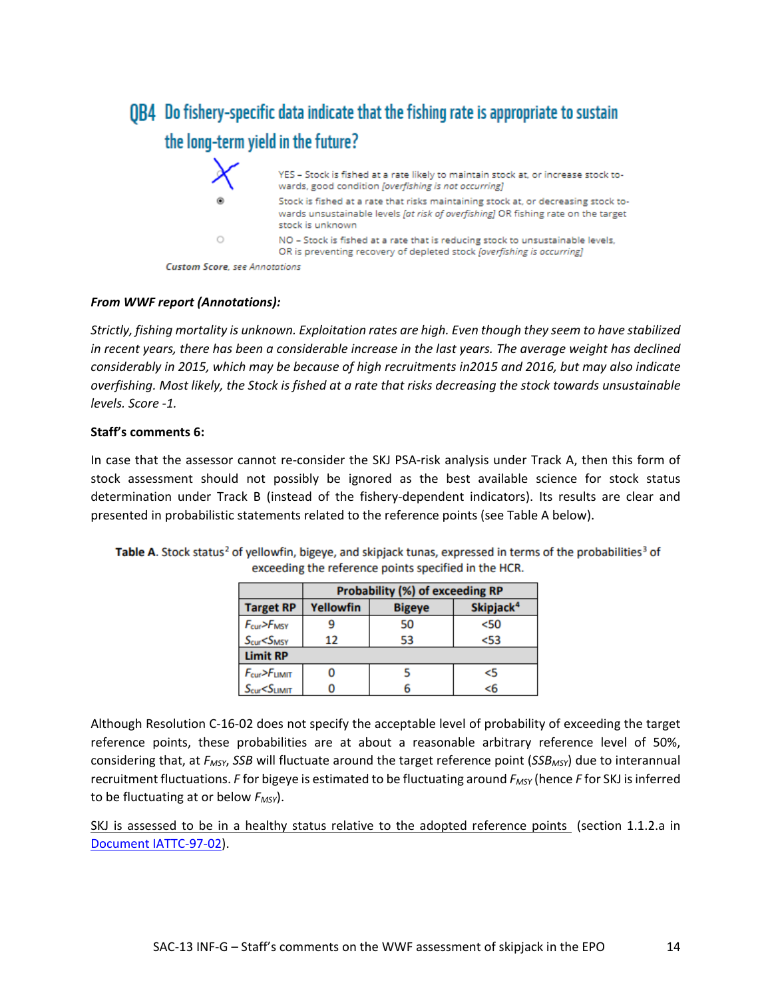## OB4 Do fishery-specific data indicate that the fishing rate is appropriate to sustain the long-term yield in the future?

|         | YES - Stock is fished at a rate likely to maintain stock at, or increase stock to-<br>wards, good condition [overfishing is not occurring]                                                  |
|---------|---------------------------------------------------------------------------------------------------------------------------------------------------------------------------------------------|
| ۵       | Stock is fished at a rate that risks maintaining stock at, or decreasing stock to-<br>wards unsustainable levels fat risk of overfishing] OR fishing rate on the target<br>stock is unknown |
| $\circ$ | NO - Stock is fished at a rate that is reducing stock to unsustainable levels,<br>OR is preventing recovery of depleted stock foverfishing is occurring)                                    |
|         |                                                                                                                                                                                             |

**Custom Score**, see Annotations

### *From WWF report (Annotations):*

*Strictly, fishing mortality is unknown. Exploitation rates are high. Even though they seem to have stabilized in recent years, there has been a considerable increase in the last years. The average weight has declined considerably in 2015, which may be because of high recruitments in2015 and 2016, but may also indicate overfishing. Most likely, the Stock is fished at a rate that risks decreasing the stock towards unsustainable levels. Score -1.*

### **Staff's comments 6:**

In case that the assessor cannot re-consider the SKJ PSA-risk analysis under Track A, then this form of stock assessment should not possibly be ignored as the best available science for stock status determination under Track B (instead of the fishery-dependent indicators). Its results are clear and presented in probabilistic statements related to the reference points (see Table A below).

|                                                                                                    | <b>Probability (%) of exceeding RP</b>                     |    |        |  |  |  |  |
|----------------------------------------------------------------------------------------------------|------------------------------------------------------------|----|--------|--|--|--|--|
| <b>Target RP</b>                                                                                   | Skipjack <sup>4</sup><br><b>Yellowfin</b><br><b>Bigeye</b> |    |        |  |  |  |  |
| Fcur>FMSY<br>Scur <smsy< th=""><th colspan="2">50</th><th colspan="2"><math>50</math></th></smsy<> | 50                                                         |    | $50$   |  |  |  |  |
|                                                                                                    | 12                                                         | 53 | $<$ 53 |  |  |  |  |
| <b>Limit RP</b>                                                                                    |                                                            |    |        |  |  |  |  |
| F <sub>cur</sub> > F <sub>LIMIT</sub>                                                              |                                                            |    | <5     |  |  |  |  |
| S <sub>cur</sub> < S <sub>LIMIT</sub>                                                              |                                                            |    | <6     |  |  |  |  |

Table A. Stock status<sup>2</sup> of yellowfin, bigeye, and skipjack tunas, expressed in terms of the probabilities<sup>3</sup> of exceeding the reference points specified in the HCR.

Although Resolution C-16-02 does not specify the acceptable level of probability of exceeding the target reference points, these probabilities are at about a reasonable arbitrary reference level of 50%, considering that, at *FMSY*, *SSB* will fluctuate around the target reference point (*SSBMSY*) due to interannual recruitment fluctuations. *F* for bigeye is estimated to be fluctuating around *FMSY* (hence *F* for SKJ is inferred to be fluctuating at or below  $F_{MSY}$ ).

SKJ is assessed to be in a healthy status relative to the adopted reference points (section 1.1.2.a in [Document IATTC-97-02\)](https://www.iattc.org/Meetings/Meetings2021/IATTC-97/Docs/_English/IATTC-97-02_Staff%20recommendations%20to%20the%20Commission.pdf).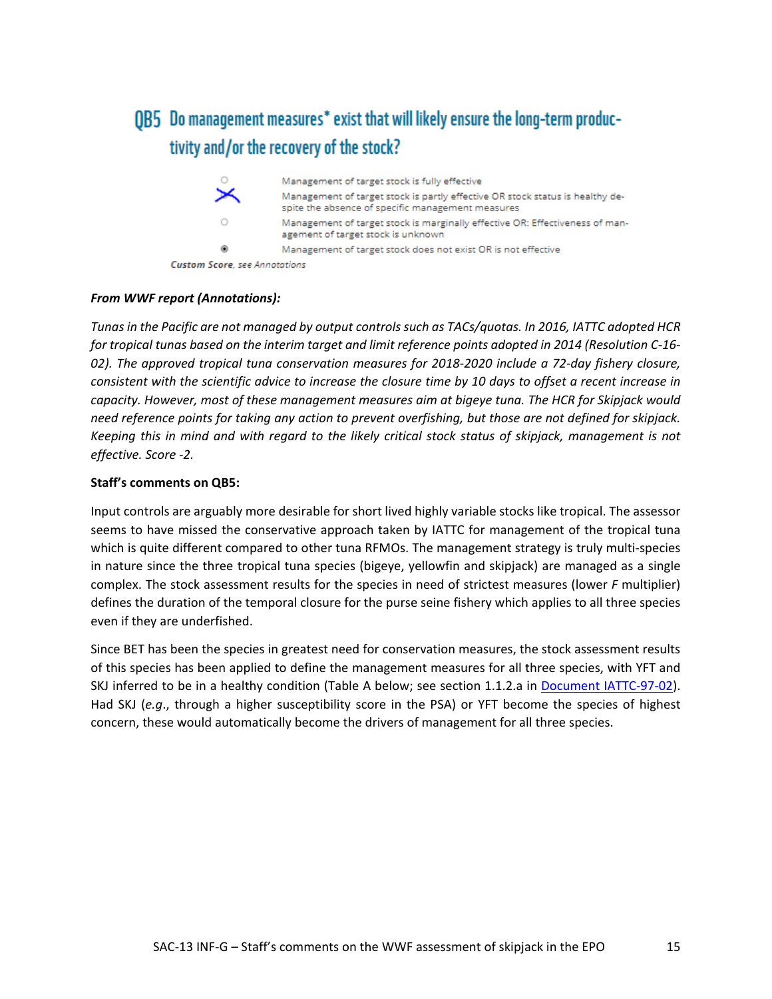## OB5 Do management measures\* exist that will likely ensure the long-term productivity and/or the recovery of the stock?

| $\circ$                               | Management of target stock is fully effective                                                                                      |
|---------------------------------------|------------------------------------------------------------------------------------------------------------------------------------|
|                                       | Management of target stock is partly effective OR stock status is healthy de-<br>spite the absence of specific management measures |
| O                                     | Management of target stock is marginally effective OR: Effectiveness of man-<br>agement of target stock is unknown                 |
| ۵                                     | Management of target stock does not exist OR is not effective                                                                      |
| <b>Custom Score</b> , see Annotations |                                                                                                                                    |

### *From WWF report (Annotations):*

*Tunas in the Pacific are not managed by output controls such as TACs/quotas. In 2016, IATTC adopted HCR for tropical tunas based on the interim target and limit reference points adopted in 2014 (Resolution C-16- 02). The approved tropical tuna conservation measures for 2018-2020 include a 72-day fishery closure, consistent with the scientific advice to increase the closure time by 10 days to offset a recent increase in capacity. However, most of these management measures aim at bigeye tuna. The HCR for Skipjack would need reference points for taking any action to prevent overfishing, but those are not defined for skipjack. Keeping this in mind and with regard to the likely critical stock status of skipjack, management is not effective. Score -2.*

### **Staff's comments on QB5:**

Input controls are arguably more desirable for short lived highly variable stocks like tropical. The assessor seems to have missed the conservative approach taken by IATTC for management of the tropical tuna which is quite different compared to other tuna RFMOs. The management strategy is truly multi-species in nature since the three tropical tuna species (bigeye, yellowfin and skipjack) are managed as a single complex. The stock assessment results for the species in need of strictest measures (lower *F* multiplier) defines the duration of the temporal closure for the purse seine fishery which applies to all three species even if they are underfished.

Since BET has been the species in greatest need for conservation measures, the stock assessment results of this species has been applied to define the management measures for all three species, with YFT and SKJ inferred to be in a healthy condition (Table A below; see section 1.1.2.a in [Document IATTC-97-02\)](https://www.iattc.org/Meetings/Meetings2021/IATTC-97/Docs/_English/IATTC-97-02_Staff%20recommendations%20to%20the%20Commission.pdf). Had SKJ (*e.g*., through a higher susceptibility score in the PSA) or YFT become the species of highest concern, these would automatically become the drivers of management for all three species.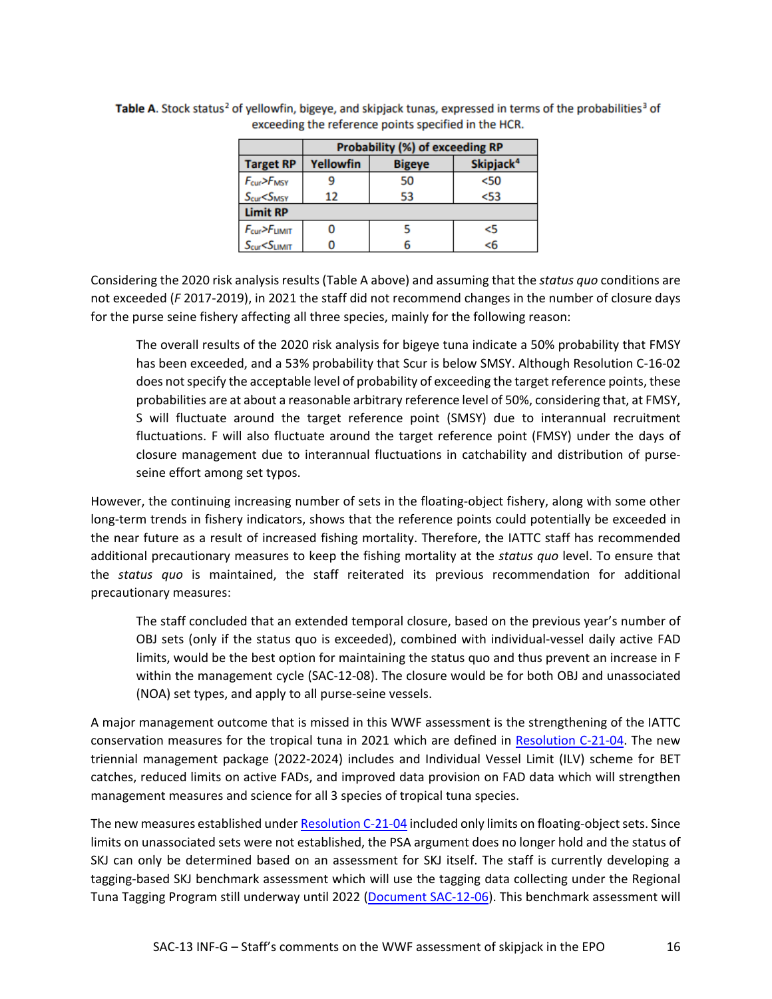|                                       | Probability (%) of exceeding RP                     |    |        |  |  |  |  |
|---------------------------------------|-----------------------------------------------------|----|--------|--|--|--|--|
| <b>Target RP</b>                      | Yellowfin<br>Skipjack <sup>4</sup><br><b>Bigeye</b> |    |        |  |  |  |  |
| F <sub>cur</sub> > F <sub>MSY</sub>   |                                                     | 50 | $50$   |  |  |  |  |
| S <sub>cur</sub> < S <sub>MSY</sub>   | 12                                                  | 53 | $<$ 53 |  |  |  |  |
| <b>Limit RP</b>                       |                                                     |    |        |  |  |  |  |
| F <sub>cur</sub> > F <sub>LIMIT</sub> |                                                     |    | <5     |  |  |  |  |
| S <sub>cur</sub> < S <sub>LIMIT</sub> |                                                     |    | <6     |  |  |  |  |

Table A. Stock status<sup>2</sup> of yellowfin, bigeye, and skipjack tunas, expressed in terms of the probabilities<sup>3</sup> of exceeding the reference points specified in the HCR.

Considering the 2020 risk analysis results (Table A above) and assuming that the *status quo* conditions are not exceeded (*F* 2017-2019), in 2021 the staff did not recommend changes in the number of closure days for the purse seine fishery affecting all three species, mainly for the following reason:

The overall results of the 2020 risk analysis for bigeye tuna indicate a 50% probability that FMSY has been exceeded, and a 53% probability that Scur is below SMSY. Although Resolution C-16-02 does not specify the acceptable level of probability of exceeding the target reference points, these probabilities are at about a reasonable arbitrary reference level of 50%, considering that, at FMSY, S will fluctuate around the target reference point (SMSY) due to interannual recruitment fluctuations. F will also fluctuate around the target reference point (FMSY) under the days of closure management due to interannual fluctuations in catchability and distribution of purseseine effort among set typos.

However, the continuing increasing number of sets in the floating-object fishery, along with some other long-term trends in fishery indicators, shows that the reference points could potentially be exceeded in the near future as a result of increased fishing mortality. Therefore, the IATTC staff has recommended additional precautionary measures to keep the fishing mortality at the *status quo* level. To ensure that the *status quo* is maintained, the staff reiterated its previous recommendation for additional precautionary measures:

The staff concluded that an extended temporal closure, based on the previous year's number of OBJ sets (only if the status quo is exceeded), combined with individual-vessel daily active FAD limits, would be the best option for maintaining the status quo and thus prevent an increase in F within the management cycle (SAC-12-08). The closure would be for both OBJ and unassociated (NOA) set types, and apply to all purse-seine vessels.

A major management outcome that is missed in this WWF assessment is the strengthening of the IATTC conservation measures for the tropical tuna in 2021 which are defined in [Resolution C-21-04.](https://www.iattc.org/PDFFiles/Resolutions/IATTC/_English/C-21-04-Active_Tuna%20conservation%20in%20the%20EPO%202022-2024.pdf) The new triennial management package (2022-2024) includes and Individual Vessel Limit (ILV) scheme for BET catches, reduced limits on active FADs, and improved data provision on FAD data which will strengthen management measures and science for all 3 species of tropical tuna species.

The new measures established under [Resolution C-21-04](https://www.iattc.org/PDFFiles/Resolutions/IATTC/_English/C-21-04-Active_Tuna%20conservation%20in%20the%20EPO%202022-2024.pdf) included only limits on floating-object sets. Since limits on unassociated sets were not established, the PSA argument does no longer hold and the status of SKJ can only be determined based on an assessment for SKJ itself. The staff is currently developing a tagging-based SKJ benchmark assessment which will use the tagging data collecting under the Regional Tuna Tagging Program still underway until 2022 [\(Document SAC-12-06\)](https://www.iattc.org/Meetings/Meetings2021/SAC-12/Docs/_English/SAC-12-06_%20Assessment%20methods%20for%20skipjack%20in%20the%20EPO%20using%20tagging%20data.pdf). This benchmark assessment will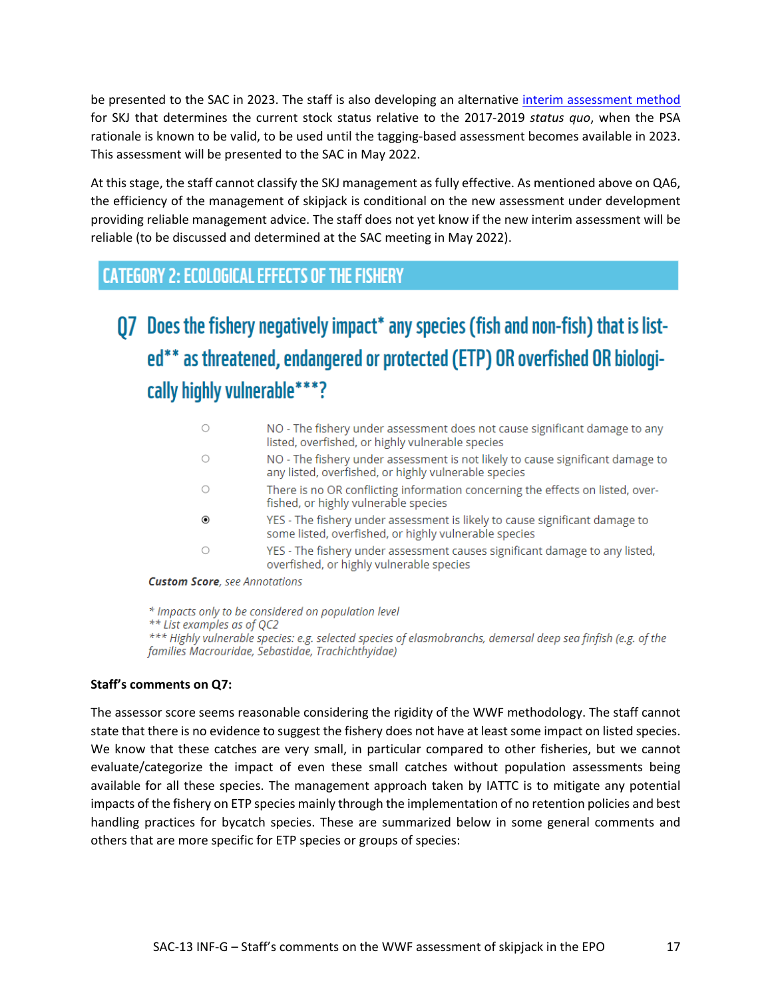be presented to the SAC in 2023. The staff is also developing an alternative [interim assessment method](https://www.iattc.org/Meetings/Meetings2021/IATTC-98a/Docs/_English/IATTC-98-INF-F_Assessment%20work%20plan%20skipjack.pdf) for SKJ that determines the current stock status relative to the 2017-2019 *status quo*, when the PSA rationale is known to be valid, to be used until the tagging-based assessment becomes available in 2023. This assessment will be presented to the SAC in May 2022.

At this stage, the staff cannot classify the SKJ management as fully effective. As mentioned above on QA6, the efficiency of the management of skipjack is conditional on the new assessment under development providing reliable management advice. The staff does not yet know if the new interim assessment will be reliable (to be discussed and determined at the SAC meeting in May 2022).

## **CATEGORY 2: ECOLOGICAL EFFECTS OF THE FISHERY**

# Q7 Does the fishery negatively impact\* any species (fish and non-fish) that is listed\*\* as threatened, endangered or protected (ETP) OR overfished OR biologically highly vulnerable\*\*\*?

|                                       | NO - The fishery under assessment does not cause significant damage to any<br>listed, overfished, or highly vulnerable species         |
|---------------------------------------|----------------------------------------------------------------------------------------------------------------------------------------|
| O                                     | NO - The fishery under assessment is not likely to cause significant damage to<br>any listed, overfished, or highly vulnerable species |
|                                       | There is no OR conflicting information concerning the effects on listed, over-<br>fished, or highly vulnerable species                 |
| ◉                                     | YES - The fishery under assessment is likely to cause significant damage to<br>some listed, overfished, or highly vulnerable species   |
| Ο                                     | YES - The fishery under assessment causes significant damage to any listed,<br>overfished, or highly vulnerable species                |
| <b>Custom Score</b> , see Annotations |                                                                                                                                        |

\* Impacts only to be considered on population level \*\* List examples as of QC2 \*\*\* Highly vulnerable species: e.g. selected species of elasmobranchs, demersal deep sea finfish (e.g. of the families Macrouridae, Sebastidae, Trachichthyidae)

### **Staff's comments on Q7:**

The assessor score seems reasonable considering the rigidity of the WWF methodology. The staff cannot state that there is no evidence to suggest the fishery does not have at least some impact on listed species. We know that these catches are very small, in particular compared to other fisheries, but we cannot evaluate/categorize the impact of even these small catches without population assessments being available for all these species. The management approach taken by IATTC is to mitigate any potential impacts of the fishery on ETP species mainly through the implementation of no retention policies and best handling practices for bycatch species. These are summarized below in some general comments and others that are more specific for ETP species or groups of species: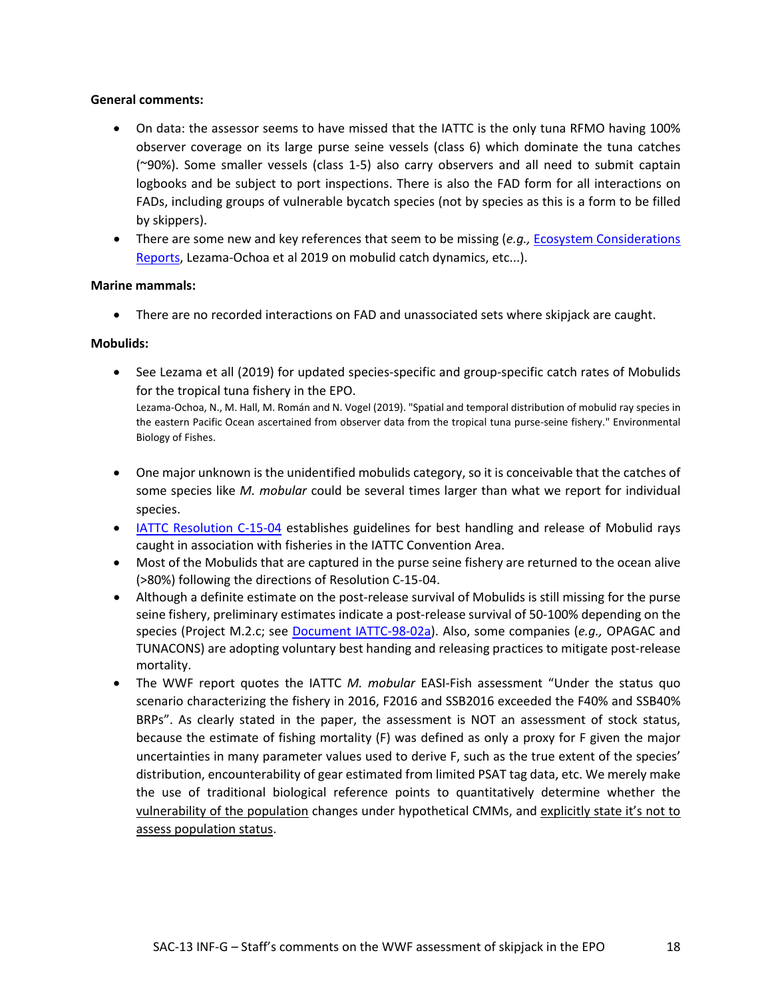### **General comments:**

- On data: the assessor seems to have missed that the IATTC is the only tuna RFMO having 100% observer coverage on its large purse seine vessels (class 6) which dominate the tuna catches (~90%). Some smaller vessels (class 1-5) also carry observers and all need to submit captain logbooks and be subject to port inspections. There is also the FAD form for all interactions on FADs, including groups of vulnerable bycatch species (not by species as this is a form to be filled by skippers).
- There are some new and key references that seem to be missing (*e.g.,* [Ecosystem Considerations](https://www.iattc.org/PDFFiles/FisheryStatusReports/_English/No-19-2021_Tunas%20billfishes%20and%20other%20pelagic%20species%20in%20the%20eastern%20Pacific%20Ocean%20in%202020.pdf)  [Reports,](https://www.iattc.org/PDFFiles/FisheryStatusReports/_English/No-19-2021_Tunas%20billfishes%20and%20other%20pelagic%20species%20in%20the%20eastern%20Pacific%20Ocean%20in%202020.pdf) Lezama-Ochoa et al 2019 on mobulid catch dynamics, etc...).

### **Marine mammals:**

• There are no recorded interactions on FAD and unassociated sets where skipjack are caught.

### **Mobulids:**

- See Lezama et all (2019) for updated species-specific and group-specific catch rates of Mobulids for the tropical tuna fishery in the EPO. Lezama-Ochoa, N., M. Hall, M. Román and N. Vogel (2019). "Spatial and temporal distribution of mobulid ray species in the eastern Pacific Ocean ascertained from observer data from the tropical tuna purse-seine fishery." Environmental Biology of Fishes.
- One major unknown is the unidentified mobulids category, so it is conceivable that the catches of some species like *M. mobular* could be several times larger than what we report for individual species.
- [IATTC Resolution C-15-04](https://testweb3.iattc.org/iattc_core/GetAttachment/88759268-a4f8-4f37-aefa-57d640277f4e/Conservation%20of%20Mobulid%20Rays) establishes guidelines for best handling and release of Mobulid rays caught in association with fisheries in the IATTC Convention Area.
- Most of the Mobulids that are captured in the purse seine fishery are returned to the ocean alive (>80%) following the directions of Resolution C-15-04.
- Although a definite estimate on the post-release survival of Mobulids is still missing for the purse seine fishery, preliminary estimates indicate a post-release survival of 50-100% depending on the species (Project M.2.c; see [Document IATTC-98-02a\)](https://testweb3.iattc.org/iattc_core/getattachment/3eeeafd3-bd16-4edd-affa-d910d655d865/Staff%20activities%20and%20research%20plan). Also, some companies (*e.g.,* OPAGAC and TUNACONS) are adopting voluntary best handing and releasing practices to mitigate post-release mortality.
- The WWF report quotes the IATTC *M. mobular* EASI-Fish assessment "Under the status quo scenario characterizing the fishery in 2016, F2016 and SSB2016 exceeded the F40% and SSB40% BRPs". As clearly stated in the paper, the assessment is NOT an assessment of stock status, because the estimate of fishing mortality (F) was defined as only a proxy for F given the major uncertainties in many parameter values used to derive F, such as the true extent of the species' distribution, encounterability of gear estimated from limited PSAT tag data, etc. We merely make the use of traditional biological reference points to quantitatively determine whether the vulnerability of the population changes under hypothetical CMMs, and explicitly state it's not to assess population status.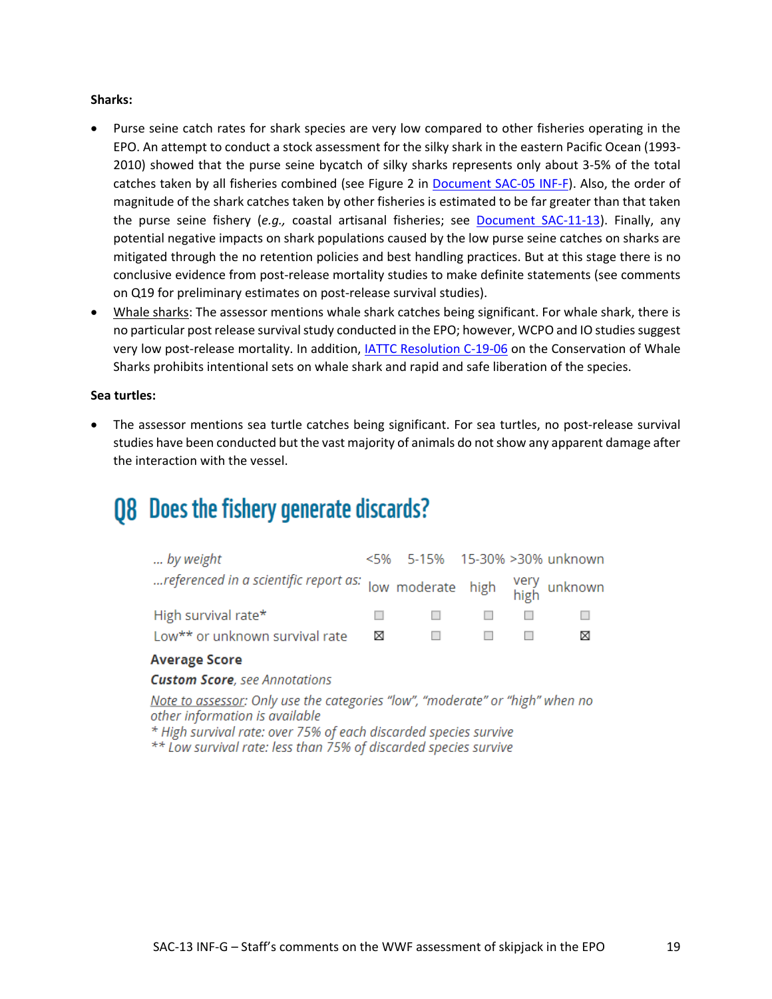### **Sharks:**

- Purse seine catch rates for shark species are very low compared to other fisheries operating in the EPO. An attempt to conduct a stock assessment for the silky shark in the eastern Pacific Ocean (1993- 2010) showed that the purse seine bycatch of silky sharks represents only about 3-5% of the total catches taken by all fisheries combined (see Figure 2 in [Document SAC-05 INF-F\)](https://www.iattc.org/Meetings/Meetings2014/SAC-05/INF/_English/SAC-05-INF-F_Assessment-of-silky-sharks.pdf). Also, the order of magnitude of the shark catches taken by other fisheries is estimated to be far greater than that taken the purse seine fishery (*e.g.,* coastal artisanal fisheries; see [Document SAC-11-13\)](https://www.iattc.org/Meetings/Meetings2020/SAC-11/Docs/_English/SAC-11-13-MTG_Pilot%20study%20for%20shark%20fishery%20sampling%20program%20in%20Central%20America.pdf). Finally, any potential negative impacts on shark populations caused by the low purse seine catches on sharks are mitigated through the no retention policies and best handling practices. But at this stage there is no conclusive evidence from post-release mortality studies to make definite statements (see comments on Q19 for preliminary estimates on post-release survival studies).
- Whale sharks: The assessor mentions whale shark catches being significant. For whale shark, there is no particular post release survival study conducted in the EPO; however, WCPO and IO studies suggest very low post-release mortality. In addition, [IATTC Resolution C-19-06](https://testweb3.iattc.org/iattc_core/GetAttachment/72ae537f-3b91-4990-91fb-1dbbe9e618c0/Whale%20sharks) on the Conservation of Whale Sharks prohibits intentional sets on whale shark and rapid and safe liberation of the species.

### **Sea turtles:**

• The assessor mentions sea turtle catches being significant. For sea turtles, no post-release survival studies have been conducted but the vast majority of animals do not show any apparent damage after the interaction with the vessel.

# **Q8** Does the fishery generate discards?

| by weight                                                            |   | <5% 5-15% 15-30% >30% unknown                                                                                        |                                                                                                                 |   |
|----------------------------------------------------------------------|---|----------------------------------------------------------------------------------------------------------------------|-----------------------------------------------------------------------------------------------------------------|---|
| referenced in a scientific report as: low moderate high very unknown |   |                                                                                                                      |                                                                                                                 |   |
| High survival rate*                                                  |   | <b>Experience Experience Experience Experience Experience Experience Experience Experience Experience Experience</b> |                                                                                                                 |   |
| Low** or unknown survival rate                                       | М | <b>The Common Service</b>                                                                                            | and the state of the state of the state of the state of the state of the state of the state of the state of the | ⋈ |

### **Average Score**

**Custom Score**, see Annotations

Note to assessor: Only use the categories "low", "moderate" or "high" when no other information is available

\* High survival rate: over 75% of each discarded species survive

\*\* Low survival rate: less than 75% of discarded species survive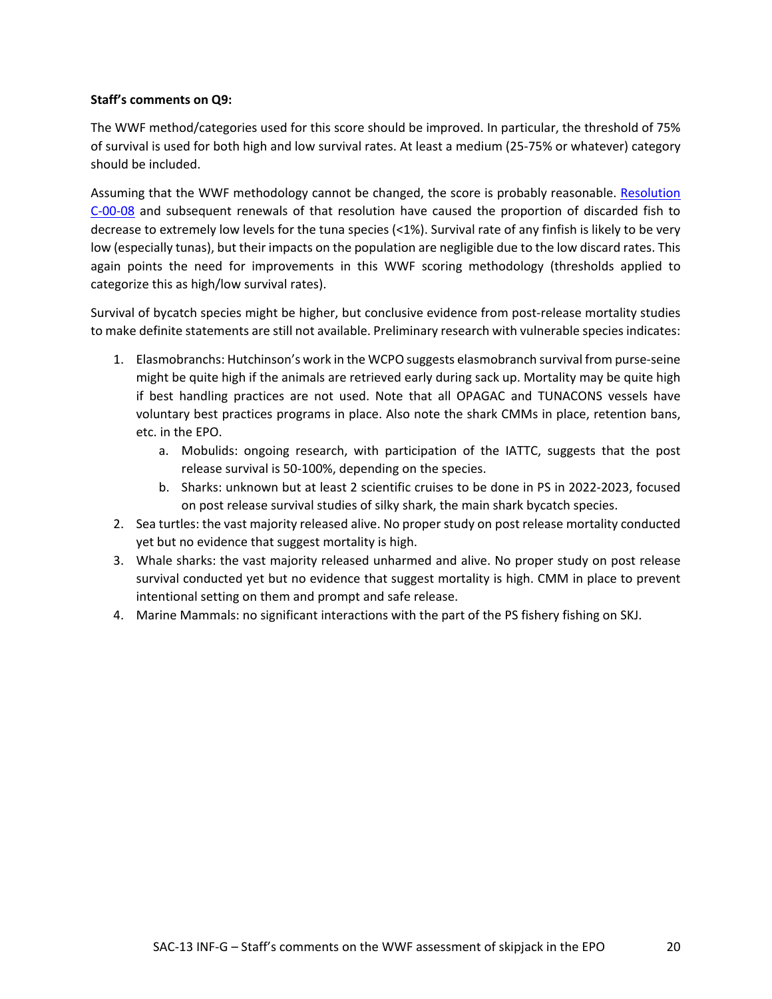### **Staff's comments on Q9:**

The WWF method/categories used for this score should be improved. In particular, the threshold of 75% of survival is used for both high and low survival rates. At least a medium (25-75% or whatever) category should be included.

Assuming that the WWF methodology cannot be changed, the score is probably reasonable. Resolution [C-00-08](https://www.iattc.org/PDFFiles/Resolutions/IATTC/_English/C-00-08_Bycatch.pdf) and subsequent renewals of that resolution have caused the proportion of discarded fish to decrease to extremely low levels for the tuna species (<1%). Survival rate of any finfish is likely to be very low (especially tunas), but their impacts on the population are negligible due to the low discard rates. This again points the need for improvements in this WWF scoring methodology (thresholds applied to categorize this as high/low survival rates).

Survival of bycatch species might be higher, but conclusive evidence from post-release mortality studies to make definite statements are still not available. Preliminary research with vulnerable species indicates:

- 1. Elasmobranchs: Hutchinson's work in the WCPO suggests elasmobranch survival from purse-seine might be quite high if the animals are retrieved early during sack up. Mortality may be quite high if best handling practices are not used. Note that all OPAGAC and TUNACONS vessels have voluntary best practices programs in place. Also note the shark CMMs in place, retention bans, etc. in the EPO.
	- a. Mobulids: ongoing research, with participation of the IATTC, suggests that the post release survival is 50-100%, depending on the species.
	- b. Sharks: unknown but at least 2 scientific cruises to be done in PS in 2022-2023, focused on post release survival studies of silky shark, the main shark bycatch species.
- 2. Sea turtles: the vast majority released alive. No proper study on post release mortality conducted yet but no evidence that suggest mortality is high.
- 3. Whale sharks: the vast majority released unharmed and alive. No proper study on post release survival conducted yet but no evidence that suggest mortality is high. CMM in place to prevent intentional setting on them and prompt and safe release.
- 4. Marine Mammals: no significant interactions with the part of the PS fishery fishing on SKJ.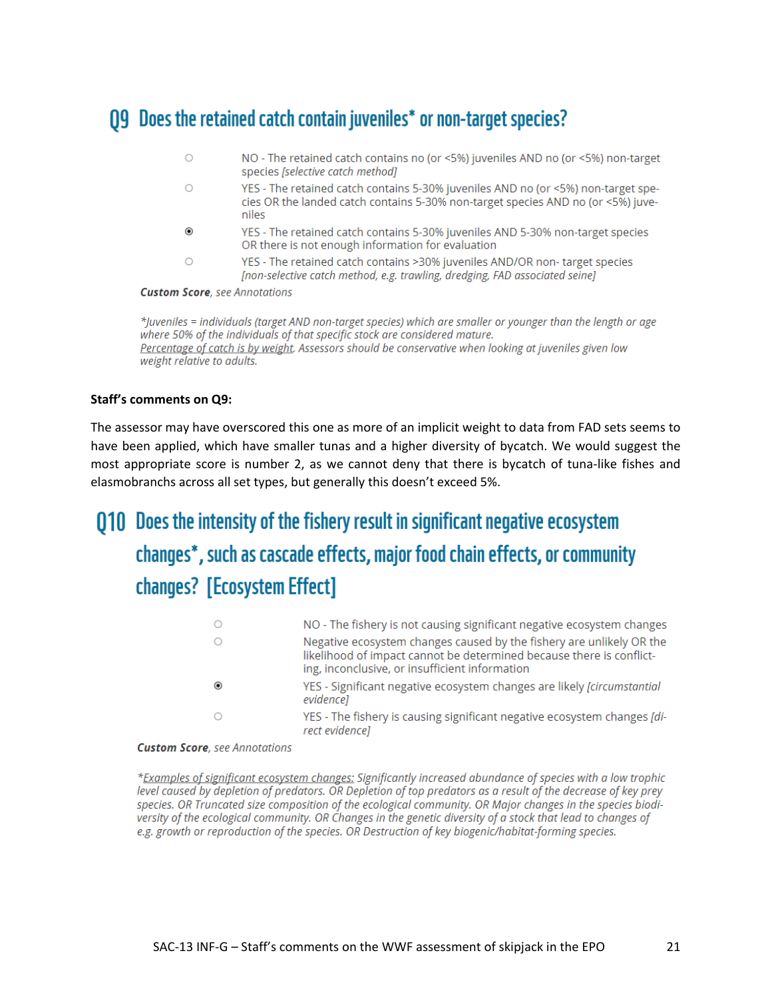## **Q9** Does the retained catch contain juveniles\* or non-target species?

- $\circ$ NO - The retained catch contains no (or <5%) juveniles AND no (or <5%) non-target species [selective catch method]
- YES The retained catch contains 5-30% juveniles AND no (or <5%) non-target spe- $\bigcirc$ cies OR the landed catch contains 5-30% non-target species AND no (or <5%) juveniles
- $\circledbullet$ YES - The retained catch contains 5-30% juveniles AND 5-30% non-target species OR there is not enough information for evaluation
- YES The retained catch contains >30% juveniles AND/OR non-target species  $\bigcirc$ [non-selective catch method, e.g. trawling, dredging, FAD associated seine]

**Custom Score**, see Annotations

\*Juveniles = individuals (target AND non-target species) which are smaller or younger than the length or age where 50% of the individuals of that specific stock are considered mature. Percentage of catch is by weight. Assessors should be conservative when looking at juveniles given low weight relative to adults.

### **Staff's comments on Q9:**

The assessor may have overscored this one as more of an implicit weight to data from FAD sets seems to have been applied, which have smaller tunas and a higher diversity of bycatch. We would suggest the most appropriate score is number 2, as we cannot deny that there is bycatch of tuna-like fishes and elasmobranchs across all set types, but generally this doesn't exceed 5%.

# 010 Does the intensity of the fishery result in significant negative ecosystem changes\*, such as cascade effects, major food chain effects, or community changes? [Ecosystem Effect]

| NO - The fishery is not causing significant negative ecosystem changes                                                                                                                         |
|------------------------------------------------------------------------------------------------------------------------------------------------------------------------------------------------|
| Negative ecosystem changes caused by the fishery are unlikely OR the<br>likelihood of impact cannot be determined because there is conflict-<br>ing, inconclusive, or insufficient information |
| YES - Significant negative ecosystem changes are likely <i>[circumstantial</i> ]<br>evidencel                                                                                                  |
| YES - The fishery is causing significant negative ecosystem changes [di-<br>rect evidencel                                                                                                     |

#### **Custom Score**, see Annotations

\*Examples of significant ecosystem changes: Significantly increased abundance of species with a low trophic level caused by depletion of predators. OR Depletion of top predators as a result of the decrease of key prey species. OR Truncated size composition of the ecological community. OR Major changes in the species biodiversity of the ecological community. OR Changes in the genetic diversity of a stock that lead to changes of e.g. growth or reproduction of the species. OR Destruction of key biogenic/habitat-forming species.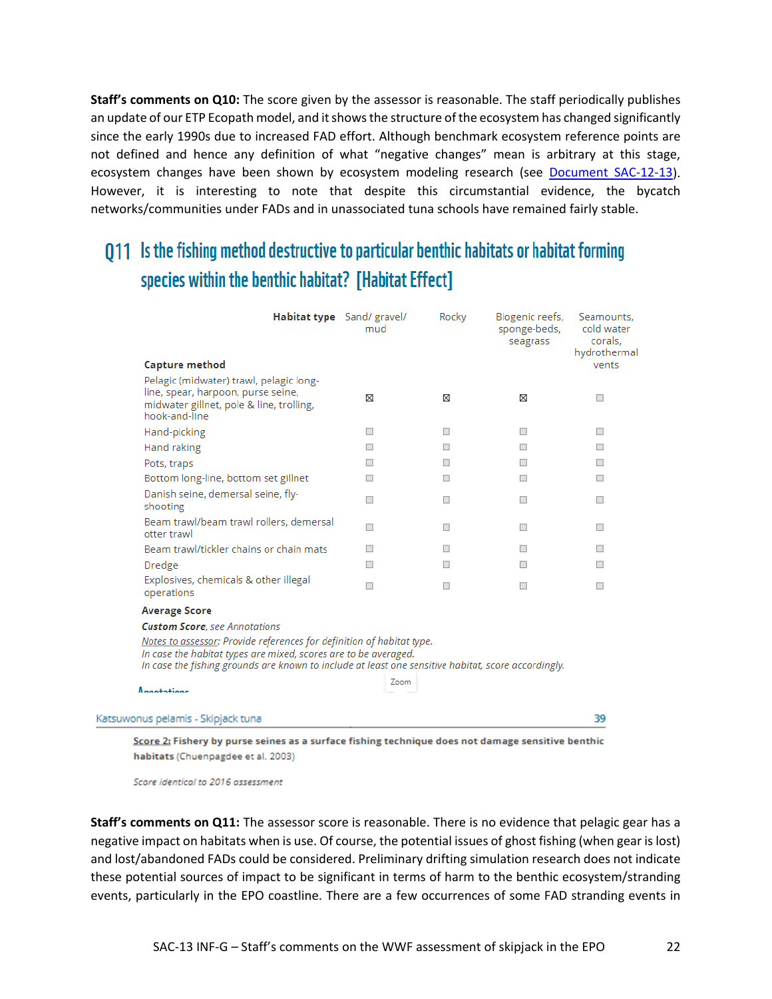**Staff's comments on Q10:** The score given by the assessor is reasonable. The staff periodically publishes an update of our ETP Ecopath model, and it shows the structure of the ecosystem has changed significantly since the early 1990s due to increased FAD effort. Although benchmark ecosystem reference points are not defined and hence any definition of what "negative changes" mean is arbitrary at this stage, ecosystem changes have been shown by ecosystem modeling research (see [Document SAC-12-13\)](https://www.iattc.org/Meetings/Meetings2021/SAC-12/Docs/_English/SAC-12-13_Ecosystem%20model%20of%20the%20EPO%20progress%20report.pdf). However, it is interesting to note that despite this circumstantial evidence, the bycatch networks/communities under FADs and in unassociated tuna schools have remained fairly stable.

## 011 Is the fishing method destructive to particular benthic habitats or habitat forming species within the benthic habitat? [Habitat Effect]

|                                                                                                                                                                                                                                                 | Habitat type Sand/ gravel/<br>mud | Rocky | Biogenic reefs,<br>sponge-beds,<br>seagrass | Seamounts,<br>cold water<br>corals.<br>hydrothermal |
|-------------------------------------------------------------------------------------------------------------------------------------------------------------------------------------------------------------------------------------------------|-----------------------------------|-------|---------------------------------------------|-----------------------------------------------------|
| Capture method                                                                                                                                                                                                                                  |                                   |       |                                             | vents                                               |
| Pelagic (midwater) trawl, pelagic long-<br>line, spear, harpoon, purse seine,<br>midwater gillnet, pole & line, trolling,<br>hook-and-line                                                                                                      | ⊠                                 | ⊠     | ⊠                                           | $\overline{\phantom{a}}$                            |
| Hand-picking                                                                                                                                                                                                                                    | $\Box$                            | ш     | □                                           | $\overline{\phantom{a}}$                            |
| Hand raking                                                                                                                                                                                                                                     | П                                 | П     | ш                                           | ш                                                   |
| Pots, traps                                                                                                                                                                                                                                     |                                   | п     | ш                                           | $\Box$                                              |
| Bottom long-line, bottom set gillnet                                                                                                                                                                                                            | ш                                 | ш     | $\Box$                                      | □                                                   |
| Danish seine, demersal seine, fly-<br>shooting                                                                                                                                                                                                  | п                                 | □     | □                                           | $\Box$                                              |
| Beam trawl/beam trawl rollers, demersal<br>otter trawl                                                                                                                                                                                          | п                                 | п     | п                                           | п                                                   |
| Beam trawl/tickler chains or chain mats                                                                                                                                                                                                         | □                                 | п     | ш                                           | ш                                                   |
| Dredge                                                                                                                                                                                                                                          | $\Box$                            | □     | п                                           | ш                                                   |
| Explosives, chemicals & other illegal<br>operations                                                                                                                                                                                             | П                                 | □     | $\Box$                                      | □                                                   |
| <b>Average Score</b>                                                                                                                                                                                                                            |                                   |       |                                             |                                                     |
| <b>Custom Score</b> , see Annotations                                                                                                                                                                                                           |                                   |       |                                             |                                                     |
| Notes to assessor: Provide references for definition of habitat type.<br>In case the habitat types are mixed, scores are to be averaged.<br>In case the fishing grounds are known to include at least one sensitive habitat, score accordingly. |                                   |       |                                             |                                                     |
| Annotations                                                                                                                                                                                                                                     | Zoom                              |       |                                             |                                                     |
| Katsuwonus pelamis - Skipjack tuna                                                                                                                                                                                                              |                                   |       |                                             | 39                                                  |

Score 2: Fishery by purse seines as a surface fishing technique does not damage sensitive benthic habitats (Chuenpagdee et al. 2003)

Score identical to 2016 assessment

**Staff's comments on Q11:** The assessor score is reasonable. There is no evidence that pelagic gear has a negative impact on habitats when is use. Of course, the potential issues of ghost fishing (when gear is lost) and lost/abandoned FADs could be considered. Preliminary drifting simulation research does not indicate these potential sources of impact to be significant in terms of harm to the benthic ecosystem/stranding events, particularly in the EPO coastline. There are a few occurrences of some FAD stranding events in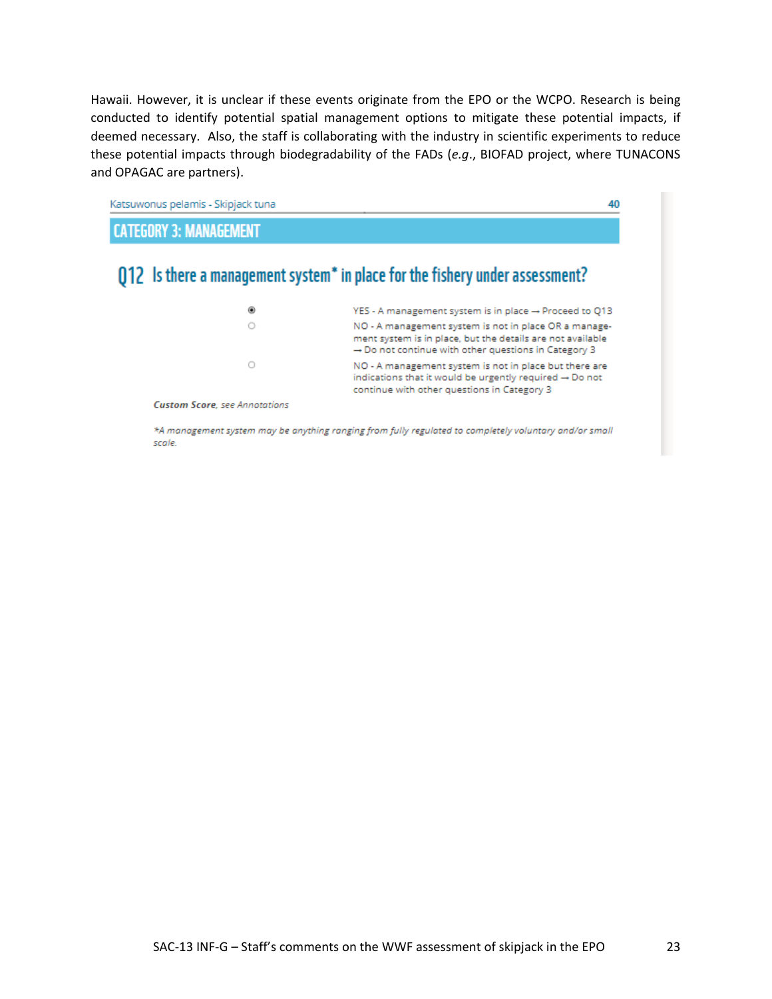Hawaii. However, it is unclear if these events originate from the EPO or the WCPO. Research is being conducted to identify potential spatial management options to mitigate these potential impacts, if deemed necessary. Also, the staff is collaborating with the industry in scientific experiments to reduce these potential impacts through biodegradability of the FADs (*e.g*., BIOFAD project, where TUNACONS and OPAGAC are partners).



\*A management system may be anything ranging from fully regulated to completely voluntary and/or small scale.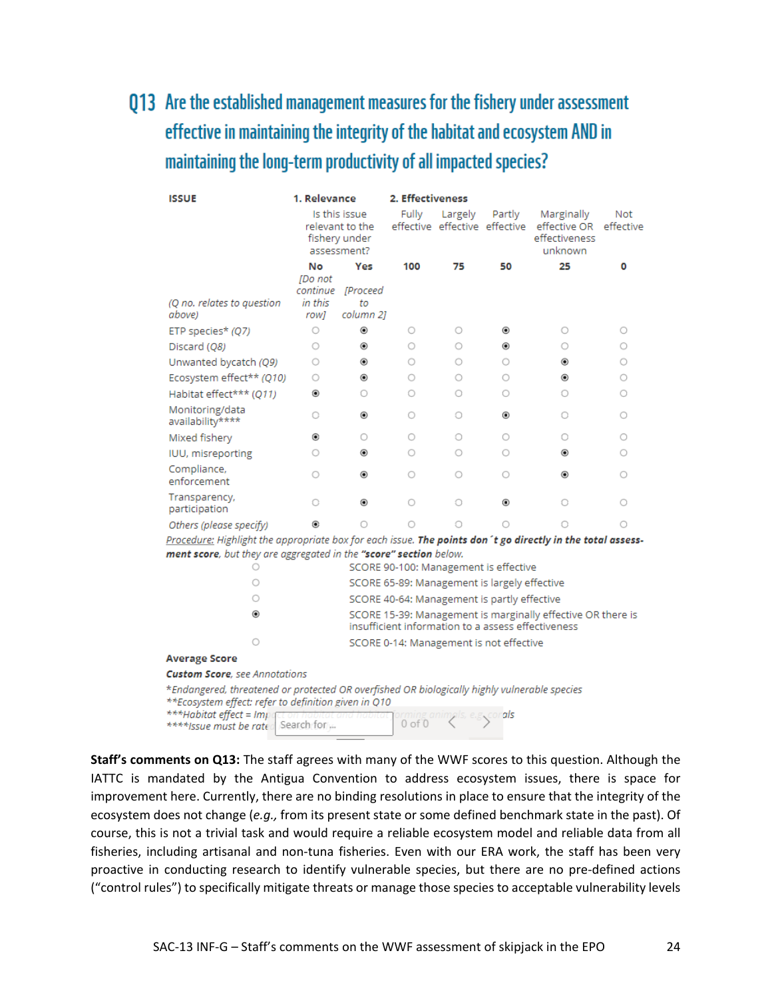# 013 Are the established management measures for the fishery under assessment effective in maintaining the integrity of the habitat and ecosystem AND in maintaining the long-term productivity of all impacted species?

| <b>ISSUE</b>                                                                                                                                         | 1. Relevance                                                     |                                                                                                                   | 2. Effectiveness |         |                                              |                                                        |                  |
|------------------------------------------------------------------------------------------------------------------------------------------------------|------------------------------------------------------------------|-------------------------------------------------------------------------------------------------------------------|------------------|---------|----------------------------------------------|--------------------------------------------------------|------------------|
|                                                                                                                                                      | Is this issue<br>relevant to the<br>fishery under<br>assessment? |                                                                                                                   | <b>Fully</b>     | Largely | Partly<br>effective effective effective      | Marginally<br>effective OR<br>effectiveness<br>unknown | Not<br>effective |
|                                                                                                                                                      | No                                                               | Yes                                                                                                               | 100              | 75      | 50                                           | 25                                                     | ٥                |
| (Q no. relates to question<br>above)                                                                                                                 | <b>IDo</b> not<br>continue<br>in this<br>rowl                    | <i>[Proceed</i><br>tо<br>column 2]                                                                                |                  |         |                                              |                                                        |                  |
| ETP species* (Q7)                                                                                                                                    | Ο                                                                | ۵                                                                                                                 | O                | 0       | ◉                                            | $\circ$                                                | 0                |
| Discard (Q8)                                                                                                                                         | Ο                                                                | ۵                                                                                                                 | Ο                | O       | ۵                                            | Ο                                                      | 0                |
| Unwanted bycatch (Q9)                                                                                                                                | Ο                                                                | ۰                                                                                                                 | Ο                | Ο       | O                                            | $\circledbullet$                                       | Ο                |
| Ecosystem effect** (Q10)                                                                                                                             | Ο                                                                | ۰                                                                                                                 | Ο                | Ο       | O                                            | ۵                                                      | 0                |
| Habitat effect*** (Q11)                                                                                                                              | ۵                                                                | O                                                                                                                 | O                | O       | O                                            | O                                                      | 0                |
| Monitoring/data<br>availability****                                                                                                                  | Ō                                                                | ۰                                                                                                                 | 0                | 0       | ۵                                            | O                                                      | 0                |
| Mixed fishery                                                                                                                                        | ۰                                                                | O                                                                                                                 | 0                | 0       | O                                            | 0                                                      | Ο                |
| IUU, misreporting                                                                                                                                    | O                                                                | ۰                                                                                                                 | O                | 0       | Ο                                            | ۵                                                      | 0                |
| Compliance,<br>enforcement                                                                                                                           | Ο                                                                | ۰                                                                                                                 | O                | O       | Ο                                            | ۵                                                      | Ο                |
| Transparency,<br>participation                                                                                                                       | O                                                                | ۵                                                                                                                 | O                | O       | ۰                                            | O                                                      | Ο                |
| Others (please specify)                                                                                                                              | ۵                                                                | O                                                                                                                 | O                | O       | O                                            | Ō                                                      | Ο                |
| Procedure: Highlight the appropriate box for each issue. The points don't go directly in the total assess-                                           |                                                                  |                                                                                                                   |                  |         |                                              |                                                        |                  |
| ment score, but they are aggregated in the "score" section below.<br>SCORE 90-100: Management is effective                                           |                                                                  |                                                                                                                   |                  |         |                                              |                                                        |                  |
| O                                                                                                                                                    |                                                                  |                                                                                                                   |                  |         |                                              |                                                        |                  |
| O                                                                                                                                                    |                                                                  |                                                                                                                   |                  |         | SCORE 65-89: Management is largely effective |                                                        |                  |
| Ο                                                                                                                                                    |                                                                  |                                                                                                                   |                  |         | SCORE 40-64: Management is partly effective  |                                                        |                  |
| $\circledcirc$                                                                                                                                       |                                                                  | SCORE 15-39: Management is marginally effective OR there is<br>insufficient information to a assess effectiveness |                  |         |                                              |                                                        |                  |
| $\circ$                                                                                                                                              |                                                                  |                                                                                                                   |                  |         | SCORE 0-14: Management is not effective      |                                                        |                  |
| <b>Average Score</b>                                                                                                                                 |                                                                  |                                                                                                                   |                  |         |                                              |                                                        |                  |
| <b>Custom Score</b> , see Annotations                                                                                                                |                                                                  |                                                                                                                   |                  |         |                                              |                                                        |                  |
| *Endangered, threatened or protected OR overfished OR biologically highly vulnerable species<br>**Ecosystem effect: refer to definition given in Q10 |                                                                  |                                                                                                                   |                  |         |                                              |                                                        |                  |
| ***Habitat effect = Imp<br>corals<br>orming anim<br>$0$ of $0$<br>Search for<br>****Issue must be rate                                               |                                                                  |                                                                                                                   |                  |         |                                              |                                                        |                  |

**Staff's comments on Q13:** The staff agrees with many of the WWF scores to this question. Although the IATTC is mandated by the Antigua Convention to address ecosystem issues, there is space for improvement here. Currently, there are no binding resolutions in place to ensure that the integrity of the ecosystem does not change (*e.g.,* from its present state or some defined benchmark state in the past). Of course, this is not a trivial task and would require a reliable ecosystem model and reliable data from all fisheries, including artisanal and non-tuna fisheries. Even with our ERA work, the staff has been very proactive in conducting research to identify vulnerable species, but there are no pre-defined actions ("control rules") to specifically mitigate threats or manage those species to acceptable vulnerability levels